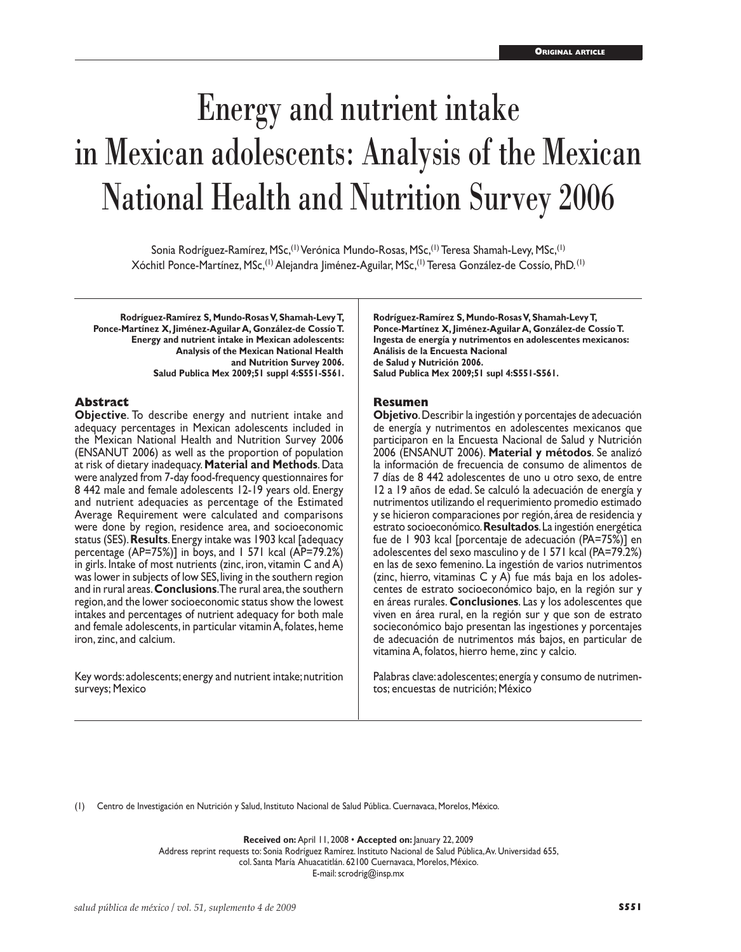# Energy and nutrient intake in Mexican adolescents: Analysis of the Mexican National Health and Nutrition Survey 2006

Sonia Rodríguez-Ramírez, MSc,(1) Verónica Mundo-Rosas, MSc,(1) Teresa Shamah-Levy, MSc,(1) Xóchitl Ponce-Martínez, MSc,(1) Alejandra Jiménez-Aguilar, MSc,(1) Teresa González-de Cossío, PhD. (1)

**Rodríguez-Ramírez S, Mundo-Rosas V, Shamah-Levy T, Ponce-Martínez X, Jiménez-Aguilar A, González-de Cossío T. Energy and nutrient intake in Mexican adolescents: Analysis of the Mexican National Health and Nutrition Survey 2006. Salud Publica Mex 2009;51 suppl 4:S551-S561.**

#### **Abstract**

**Objective**. To describe energy and nutrient intake and adequacy percentages in Mexican adolescents included in the Mexican National Health and Nutrition Survey 2006 (ENSANUT 2006) as well as the proportion of population at risk of dietary inadequacy. **Material and Methods**. Data were analyzed from 7-day food-frequency questionnaires for 8 442 male and female adolescents 12-19 years old. Energy and nutrient adequacies as percentage of the Estimated Average Requirement were calculated and comparisons were done by region, residence area, and socioeconomic status (SES). **Results**. Energy intake was 1903 kcal [adequacy percentage (AP=75%)] in boys, and 1 571 kcal (AP=79.2%) in girls. Intake of most nutrients (zinc, iron, vitamin C and A) was lower in subjects of low SES, living in the southern region and in rural areas. **Conclusions**. The rural area, the southern region, and the lower socioeconomic status show the lowest intakes and percentages of nutrient adequacy for both male and female adolescents, in particular vitamin A, folates, heme iron, zinc, and calcium.

Key words: adolescents; energy and nutrient intake; nutrition surveys; Mexico

**Rodríguez-Ramírez S, Mundo-Rosas V, Shamah-Levy T, Ponce-Martínez X, Jiménez-Aguilar A, González-de Cossío T. Ingesta de energía y nutrimentos en adolescentes mexicanos: Análisis de la Encuesta Nacional de Salud y Nutrición 2006. Salud Publica Mex 2009;51 supl 4:S551-S561.**

#### **Resumen**

**Objetivo**. Describir la ingestión y porcentajes de adecuación de energía y nutrimentos en adolescentes mexicanos que participaron en la Encuesta Nacional de Salud y Nutrición 2006 (ENSANUT 2006). **Material y métodos**. Se analizó la información de frecuencia de consumo de alimentos de 7 días de 8 442 adolescentes de uno u otro sexo, de entre 12 a 19 años de edad. Se calculó la adecuación de energía y nutrimentos utilizando el requerimiento promedio estimado y se hicieron comparaciones por región, área de residencia y estrato socioeconómico. **Resultados**. La ingestión energética fue de 1 903 kcal [porcentaje de adecuación (PA=75%)] en adolescentes del sexo masculino y de 1 571 kcal (PA=79.2%) en las de sexo femenino. La ingestión de varios nutrimentos (zinc, hierro, vitaminas C y A) fue más baja en los adolescentes de estrato socioeconómico bajo, en la región sur y en áreas rurales. **Conclusiones**. Las y los adolescentes que viven en área rural, en la región sur y que son de estrato socieconómico bajo presentan las ingestiones y porcentajes de adecuación de nutrimentos más bajos, en particular de vitamina A, folatos, hierro heme, zinc y calcio.

Palabras clave: adolescentes; energía y consumo de nutrimentos; encuestas de nutrición; México

(1) Centro de Investigación en Nutrición y Salud, Instituto Nacional de Salud Pública. Cuernavaca, Morelos, México.

**Received on:** April 11, 2008 • **Accepted on:** January 22, 2009 Address reprint requests to: Sonia Rodríguez Ramírez. Instituto Nacional de Salud Pública, Av. Universidad 655, col. Santa María Ahuacatitlán. 62100 Cuernavaca, Morelos, México. E-mail: scrodrig@insp.mx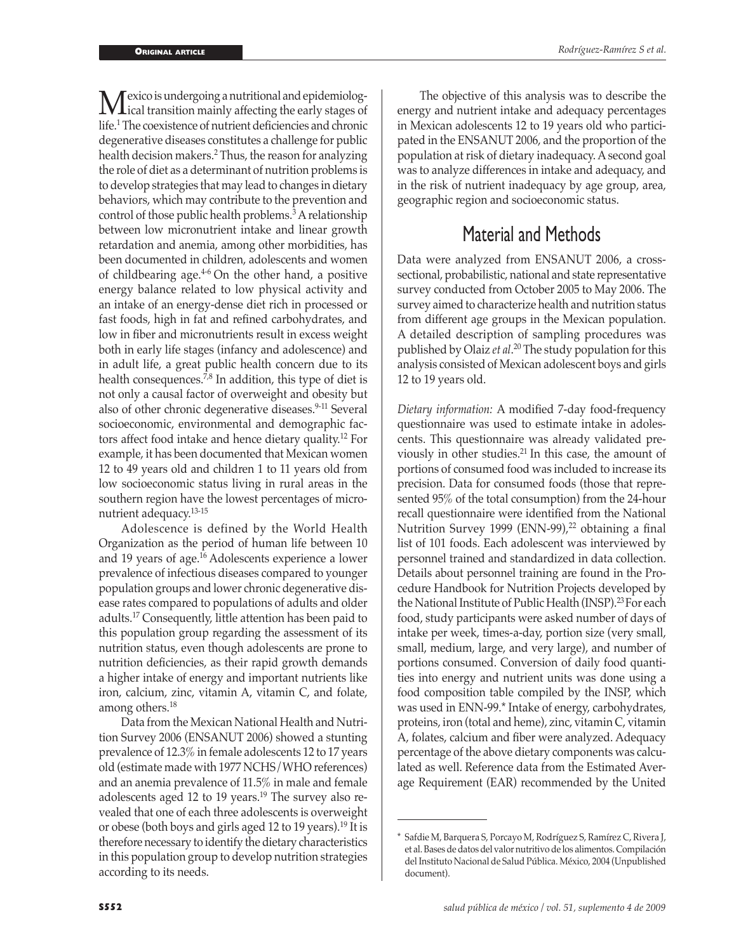**M**exico is undergoing a nutritional and epidemiolog-<br>life l The convictor of outrior deficiencies and chronic life.1 The coexistence of nutrient deficiencies and chronic degenerative diseases constitutes a challenge for public health decision makers.2 Thus, the reason for analyzing the role of diet as a determinant of nutrition problems is to develop strategies that may lead to changes in dietary behaviors, which may contribute to the prevention and control of those public health problems.<sup>3</sup> A relationship between low micronutrient intake and linear growth retardation and anemia, among other morbidities, has been documented in children, adolescents and women of childbearing age. $4-6$  On the other hand, a positive energy balance related to low physical activity and an intake of an energy-dense diet rich in processed or fast foods, high in fat and refined carbohydrates, and low in fiber and micronutrients result in excess weight both in early life stages (infancy and adolescence) and in adult life, a great public health concern due to its health consequences.<sup> $7,8$ </sup> In addition, this type of diet is not only a causal factor of overweight and obesity but also of other chronic degenerative diseases.<sup>9-11</sup> Several socioeconomic, environmental and demographic factors affect food intake and hence dietary quality.12 For example, it has been documented that Mexican women 12 to 49 years old and children 1 to 11 years old from low socioeconomic status living in rural areas in the southern region have the lowest percentages of micronutrient adequacy.13-15

Adolescence is defined by the World Health Organization as the period of human life between 10 and 19 years of age.16 Adolescents experience a lower prevalence of infectious diseases compared to younger population groups and lower chronic degenerative disease rates compared to populations of adults and older adults.17 Consequently, little attention has been paid to this population group regarding the assessment of its nutrition status, even though adolescents are prone to nutrition deficiencies, as their rapid growth demands a higher intake of energy and important nutrients like iron, calcium, zinc, vitamin A, vitamin C, and folate, among others.18

Data from the Mexican National Health and Nutrition Survey 2006 (ENSANUT 2006) showed a stunting prevalence of 12.3% in female adolescents 12 to 17 years old (estimate made with 1977 NCHS/WHO references) and an anemia prevalence of 11.5% in male and female adolescents aged 12 to 19 years.<sup>19</sup> The survey also revealed that one of each three adolescents is overweight or obese (both boys and girls aged 12 to 19 years).<sup>19</sup> It is therefore necessary to identify the dietary characteristics in this population group to develop nutrition strategies according to its needs.

The objective of this analysis was to describe the energy and nutrient intake and adequacy percentages in Mexican adolescents 12 to 19 years old who participated in the ENSANUT 2006, and the proportion of the population at risk of dietary inadequacy. A second goal was to analyze differences in intake and adequacy, and in the risk of nutrient inadequacy by age group, area, geographic region and socioeconomic status.

# Material and Methods

Data were analyzed from ENSANUT 2006, a crosssectional, probabilistic, national and state representative survey conducted from October 2005 to May 2006. The survey aimed to characterize health and nutrition status from different age groups in the Mexican population. A detailed description of sampling procedures was published by Olaiz *et al*. 20 The study population for this analysis consisted of Mexican adolescent boys and girls 12 to 19 years old.

*Dietary information:* A modified 7-day food-frequency questionnaire was used to estimate intake in adolescents. This questionnaire was already validated previously in other studies.21 In this case, the amount of portions of consumed food was included to increase its precision. Data for consumed foods (those that represented 95% of the total consumption) from the 24-hour recall questionnaire were identified from the National Nutrition Survey 1999 (ENN-99),<sup>22</sup> obtaining a final list of 101 foods. Each adolescent was interviewed by personnel trained and standardized in data collection. Details about personnel training are found in the Procedure Handbook for Nutrition Projects developed by the National Institute of Public Health (INSP).<sup>23</sup> For each food, study participants were asked number of days of intake per week, times-a-day, portion size (very small, small, medium, large, and very large), and number of portions consumed. Conversion of daily food quantities into energy and nutrient units was done using a food composition table compiled by the INSP, which was used in ENN-99.\* Intake of energy, carbohydrates, proteins, iron (total and heme), zinc, vitamin C, vitamin A, folates, calcium and fiber were analyzed. Adequacy percentage of the above dietary components was calculated as well. Reference data from the Estimated Average Requirement (EAR) recommended by the United

Safdie M, Barquera S, Porcayo M, Rodríguez S, Ramírez C, Rivera J, et al. Bases de datos del valor nutritivo de los alimentos. Compilación del Instituto Nacional de Salud Pública. México, 2004 (Unpublished document).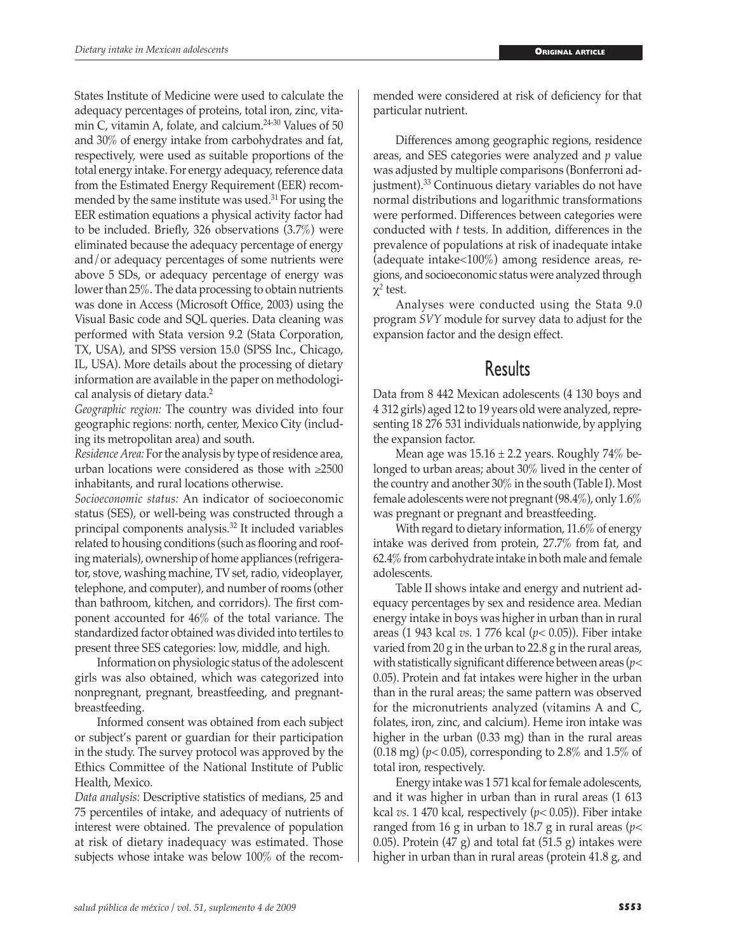States Institute of Medicine were used to calculate the adequacy percentages of proteins, total iron, zinc, vitamin C, vitamin A, folate, and calcium.24-30 Values of 50 and 30% of energy intake from carbohydrates and fat, respectively, were used as suitable proportions of the total energy intake. For energy adequacy, reference data from the Estimated Energy Requirement (EER) recommended by the same institute was used. $31$  For using the EER estimation equations a physical activity factor had to be included. Briefly, 326 observations (3.7%) were eliminated because the adequacy percentage of energy and/or adequacy percentages of some nutrients were above 5 SDs, or adequacy percentage of energy was lower than 25%. The data processing to obtain nutrients was done in Access (Microsoft Office, 2003) using the Visual Basic code and SQL queries. Data cleaning was performed with Stata version 9.2 (Stata Corporation, TX, USA), and SPSS version 15.0 (SPSS Inc., Chicago, IL, USA). More details about the processing of dietary information are available in the paper on methodological analysis of dietary data.2

*Geographic region:* The country was divided into four geographic regions: north, center, Mexico City (including its metropolitan area) and south.

*Residence Area:* For the analysis by type of residence area, urban locations were considered as those with ≥2500 inhabitants, and rural locations otherwise.

*Socioeconomic status:* An indicator of socioeconomic status (SES), or well-being was constructed through a principal components analysis.32 It included variables related to housing conditions (such as flooring and roofing materials), ownership of home appliances (refrigerator, stove, washing machine, TV set, radio, videoplayer, telephone, and computer), and number of rooms (other than bathroom, kitchen, and corridors). The first component accounted for 46% of the total variance. The standardized factor obtained was divided into tertiles to present three SES categories: low, middle, and high.

Information on physiologic status of the adolescent girls was also obtained, which was categorized into nonpregnant, pregnant, breastfeeding, and pregnantbreastfeeding.

Informed consent was obtained from each subject or subject's parent or guardian for their participation in the study. The survey protocol was approved by the Ethics Committee of the National Institute of Public Health, Mexico.

*Data analysis:* Descriptive statistics of medians, 25 and 75 percentiles of intake, and adequacy of nutrients of interest were obtained. The prevalence of population at risk of dietary inadequacy was estimated. Those subjects whose intake was below 100% of the recommended were considered at risk of deficiency for that particular nutrient.

Differences among geographic regions, residence areas, and SES categories were analyzed and *p* value was adjusted by multiple comparisons (Bonferroni adjustment).<sup>33</sup> Continuous dietary variables do not have normal distributions and logarithmic transformations were performed. Differences between categories were conducted with *t* tests. In addition, differences in the prevalence of populations at risk of inadequate intake (adequate intake<100%) among residence areas, regions, and socioeconomic status were analyzed through χ*2* test.

Analyses were conducted using the Stata 9.0 program *SVY* module for survey data to adjust for the expansion factor and the design effect.

## **Results**

Data from 8 442 Mexican adolescents (4 130 boys and 4 312 girls) aged 12 to 19 years old were analyzed, representing 18 276 531 individuals nationwide, by applying the expansion factor.

Mean age was  $15.16 \pm 2.2$  years. Roughly 74% belonged to urban areas; about 30% lived in the center of the country and another 30% in the south (Table I). Most female adolescents were not pregnant (98.4%), only 1.6% was pregnant or pregnant and breastfeeding.

With regard to dietary information, 11.6% of energy intake was derived from protein, 27.7% from fat, and 62.4% from carbohydrate intake in both male and female adolescents.

Table II shows intake and energy and nutrient adequacy percentages by sex and residence area. Median energy intake in boys was higher in urban than in rural areas (1 943 kcal *vs*. 1 776 kcal (*p<* 0.05)). Fiber intake varied from 20 g in the urban to 22.8 g in the rural areas, with statistically significant difference between areas (*p<* 0.05). Protein and fat intakes were higher in the urban than in the rural areas; the same pattern was observed for the micronutrients analyzed (vitamins A and C, folates, iron, zinc, and calcium). Heme iron intake was higher in the urban (0.33 mg) than in the rural areas (0.18 mg) (*p<* 0.05), corresponding to 2.8% and 1.5% of total iron, respectively.

Energy intake was 1 571 kcal for female adolescents, and it was higher in urban than in rural areas (1 613 kcal *vs*. 1 470 kcal, respectively (*p<* 0.05)). Fiber intake ranged from 16 g in urban to 18.7 g in rural areas (*p<* 0.05). Protein  $(47 \text{ g})$  and total fat  $(51.5 \text{ g})$  intakes were higher in urban than in rural areas (protein 41.8 g, and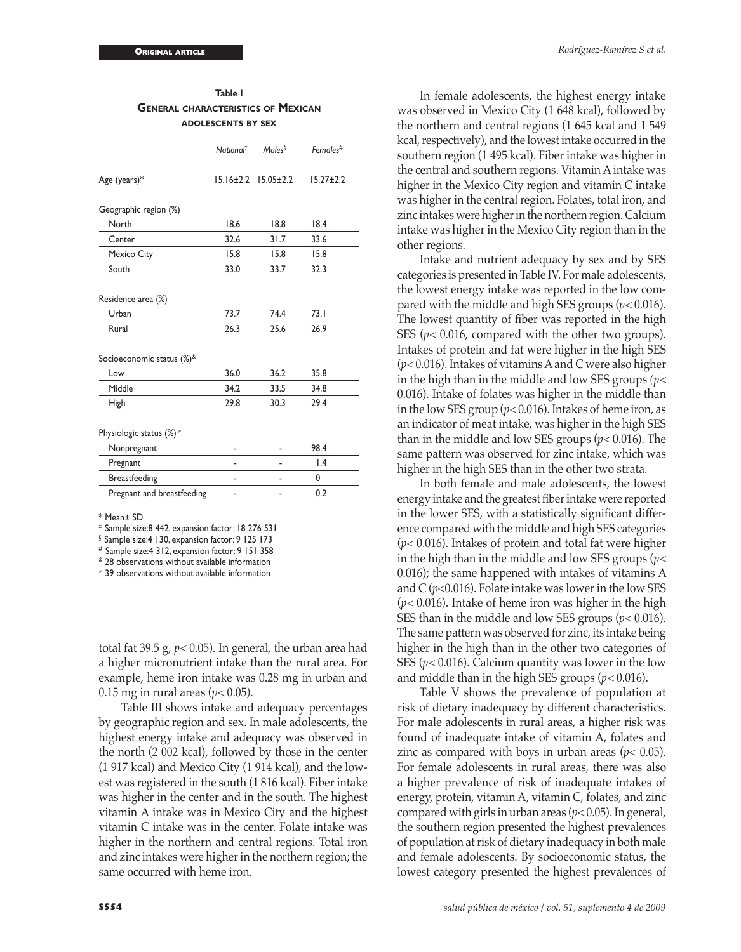|                                                                                                                                                                                                                                                                                                                     | National <sup>‡</sup> | Males <sup>§</sup> | Females#         |  |  |  |
|---------------------------------------------------------------------------------------------------------------------------------------------------------------------------------------------------------------------------------------------------------------------------------------------------------------------|-----------------------|--------------------|------------------|--|--|--|
| Age (years)*                                                                                                                                                                                                                                                                                                        | $15.16 \pm 2.2$       | $15.05 \pm 2.2$    | $15.27 \pm 2.2$  |  |  |  |
| Geographic region (%)                                                                                                                                                                                                                                                                                               |                       |                    |                  |  |  |  |
| North                                                                                                                                                                                                                                                                                                               | 18.6                  | 18.8               | 18.4             |  |  |  |
| Center                                                                                                                                                                                                                                                                                                              | 32.6                  | 31.7               | 33.6             |  |  |  |
| Mexico City                                                                                                                                                                                                                                                                                                         | 15.8                  | 15.8               | 15.8             |  |  |  |
| South                                                                                                                                                                                                                                                                                                               | 33.0                  | 33.7               | 32.3             |  |  |  |
| Residence area (%)                                                                                                                                                                                                                                                                                                  |                       |                    |                  |  |  |  |
| Urban                                                                                                                                                                                                                                                                                                               | 73.7                  | 74.4               | 73.1             |  |  |  |
| Rural                                                                                                                                                                                                                                                                                                               | 26.3                  | 25.6               | 26.9             |  |  |  |
| Socioeconomic status (%) <sup>&amp;</sup>                                                                                                                                                                                                                                                                           |                       |                    |                  |  |  |  |
| l ow                                                                                                                                                                                                                                                                                                                | 36.0                  | 36.2               | 35.8             |  |  |  |
| Middle                                                                                                                                                                                                                                                                                                              | 34.2                  | 33.5               | 34.8             |  |  |  |
| High                                                                                                                                                                                                                                                                                                                | 29.8                  | 30.3               | 29.4             |  |  |  |
| Physiologic status $(\%)^*$                                                                                                                                                                                                                                                                                         |                       |                    |                  |  |  |  |
| Nonpregnant                                                                                                                                                                                                                                                                                                         |                       |                    | 98.4             |  |  |  |
| Pregnant                                                                                                                                                                                                                                                                                                            |                       |                    | $\overline{1.4}$ |  |  |  |
| <b>Breastfeeding</b>                                                                                                                                                                                                                                                                                                |                       |                    | 0                |  |  |  |
| Pregnant and breastfeeding                                                                                                                                                                                                                                                                                          |                       |                    | 0.2              |  |  |  |
| * Mean± SD<br><sup>‡</sup> Sample size:8 442, expansion factor: 18 276 531<br><sup>§</sup> Sample size:4 130, expansion factor: 9 125 173<br># Sample size: 4 312, expansion factor: 9 151 358<br><sup>&amp;</sup> 28 observations without available information<br>* 39 observations without available information |                       |                    |                  |  |  |  |

**General characteristics of Mexican adolescents by sex**

total fat 39.5 g, *p<* 0.05). In general, the urban area had a higher micronutrient intake than the rural area. For example, heme iron intake was 0.28 mg in urban and 0.15 mg in rural areas (*p<* 0.05).

Table III shows intake and adequacy percentages by geographic region and sex. In male adolescents, the highest energy intake and adequacy was observed in the north (2 002 kcal), followed by those in the center (1 917 kcal) and Mexico City (1 914 kcal), and the lowest was registered in the south (1 816 kcal). Fiber intake was higher in the center and in the south. The highest vitamin A intake was in Mexico City and the highest vitamin C intake was in the center. Folate intake was higher in the northern and central regions. Total iron and zinc intakes were higher in the northern region; the same occurred with heme iron.

In female adolescents, the highest energy intake was observed in Mexico City (1 648 kcal), followed by the northern and central regions (1 645 kcal and 1 549 kcal, respectively), and the lowest intake occurred in the southern region (1 495 kcal). Fiber intake was higher in the central and southern regions. Vitamin A intake was higher in the Mexico City region and vitamin C intake was higher in the central region. Folates, total iron, and zinc intakes were higher in the northern region. Calcium intake was higher in the Mexico City region than in the other regions.

Intake and nutrient adequacy by sex and by SES categories is presented in Table IV. For male adolescents, the lowest energy intake was reported in the low compared with the middle and high SES groups (*p<* 0.016). The lowest quantity of fiber was reported in the high SES ( $p$ < 0.016, compared with the other two groups). Intakes of protein and fat were higher in the high SES (*p<* 0.016). Intakes of vitamins A and C were also higher in the high than in the middle and low SES groups *(p<* 0.016). Intake of folates was higher in the middle than in the low SES group (*p<* 0.016). Intakes of heme iron, as an indicator of meat intake, was higher in the high SES than in the middle and low SES groups (*p<* 0.016). The same pattern was observed for zinc intake, which was higher in the high SES than in the other two strata.

In both female and male adolescents, the lowest energy intake and the greatest fiber intake were reported in the lower SES, with a statistically significant difference compared with the middle and high SES categories (*p<* 0.016). Intakes of protein and total fat were higher in the high than in the middle and low SES groups (*p<* 0.016); the same happened with intakes of vitamins A and C (*p*<0.016). Folate intake was lower in the low SES (*p<* 0.016). Intake of heme iron was higher in the high SES than in the middle and low SES groups (*p<* 0.016). The same pattern was observed for zinc, its intake being higher in the high than in the other two categories of SES (*p<* 0.016). Calcium quantity was lower in the low and middle than in the high SES groups (*p<* 0.016).

Table V shows the prevalence of population at risk of dietary inadequacy by different characteristics. For male adolescents in rural areas, a higher risk was found of inadequate intake of vitamin A, folates and zinc as compared with boys in urban areas ( $p$ < 0.05). For female adolescents in rural areas, there was also a higher prevalence of risk of inadequate intakes of energy, protein, vitamin A, vitamin C, folates, and zinc compared with girls in urban areas (*p<* 0.05). In general, the southern region presented the highest prevalences of population at risk of dietary inadequacy in both male and female adolescents. By socioeconomic status, the lowest category presented the highest prevalences of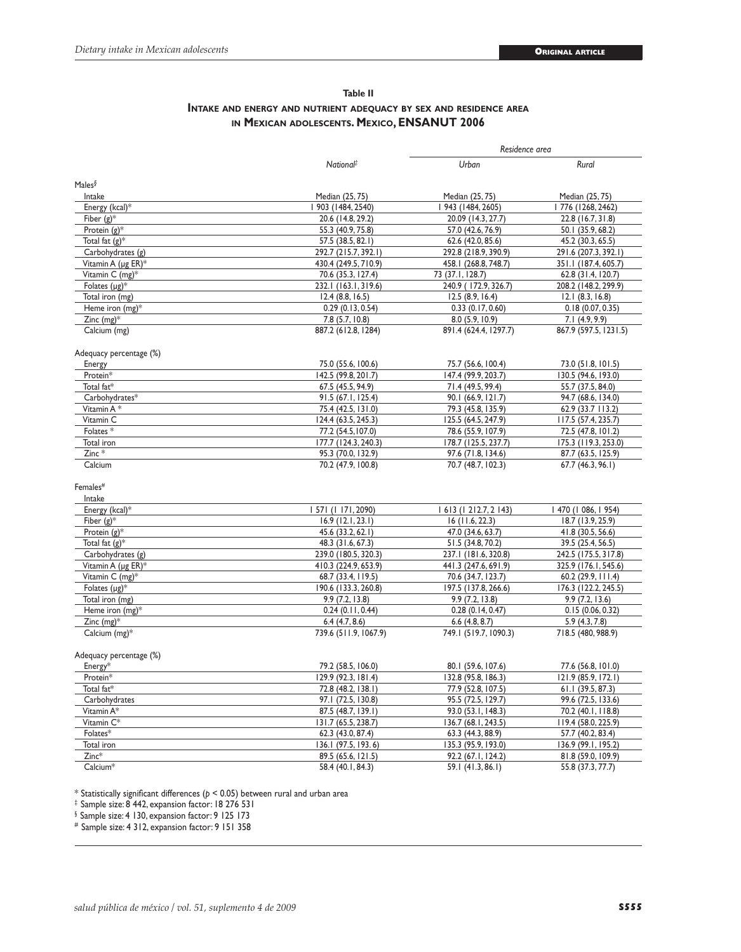*Residence area*

## **Table II Intake and energy and nutrient adequacy by sex and residence area in Mexican adolescents. Mexico, ENSANUT 2006**

| Males $\delta$<br>Intake<br>Median (25, 75)<br>Median (25, 75)<br>Median (25, 75)<br>Energy (kcal)*<br>  903 (1484, 2540)<br>  943 (1484, 2605)<br>  776 (1268, 2462)<br>Fiber $(g)^*$<br>20.6 (14.8, 29.2)<br>20.09 (14.3, 27.7)<br>22.8 (16.7, 31.8)<br>Protein $(g)^*$<br>55.3 (40.9, 75.8)<br>57.0 (42.6, 76.9)<br>50.1 (35.9, 68.2)<br>Total fat $(g)^*$<br>57.5 (38.5, 82.1)<br>62.6 (42.0, 85.6)<br>45.2 (30.3, 65.5)<br>Carbohydrates (g)<br>292.7 (215.7, 392.1)<br>292.8 (218.9, 390.9)<br>291.6 (207.3, 392.1)<br>Vitamin A (µg ER)*<br>430.4 (249.5, 710.9)<br>458.1 (268.8, 748.7)<br>351.1 (187.4, 605.7)<br>Vitamin C (mg)*<br>73 (37.1, 128.7)<br>70.6 (35.3, 127.4)<br>62.8 (31.4, 120.7)<br>Folates $(\mu g)^*$<br>232.1 (163.1, 319.6)<br>240.9 (172.9, 326.7)<br>208.2 (148.2, 299.9)<br>Total iron (mg)<br>12.5(8.9, 16.4)<br>12.1(8.3, 16.8)<br>$12.4$ (8.8, 16.5)<br>Heme iron (mg)*<br>0.29(0.13, 0.54)<br>0.18(0.07, 0.35)<br>0.33(0.17, 0.60)<br>Zinc $(mg)^*$<br>7.8 (5.7, 10.8)<br>8.0(5.9, 10.9)<br>7.1(4.9, 9.9)<br>Calcium (mg)<br>887.2 (612.8, 1284)<br>891.4 (624.4, 1297.7)<br>867.9 (597.5, 1231.5)<br>Adequacy percentage (%)<br>Energy<br>75.0 (55.6, 100.6)<br>75.7 (56.6, 100.4)<br>73.0 (51.8, 101.5)<br>Protein*<br>142.5 (99.8, 201.7)<br>147.4 (99.9, 203.7)<br>130.5 (94.6, 193.0)<br>Total fat*<br>67.5 (45.5, 94.9)<br>71.4 (49.5, 99.4)<br>55.7 (37.5, 84.0)<br>Carbohydrates*<br>91.5 (67.1, 125.4)<br>90.1 (66.9, 121.7)<br>94.7 (68.6, 134.0)<br>Vitamin A*<br>75.4 (42.5, 131.0)<br>79.3 (45.8, 135.9)<br>62.9(33.7113.2)<br>Vitamin C<br>124.4 (63.5, 245.3)<br>125.5 (64.5, 247.9)<br>117.5 (57.4, 235.7)<br>Folates*<br>77.2 (54.5, 107.0)<br>78.6 (55.9, 107.9)<br>72.5 (47.8, 101.2)<br>Total iron<br>178.7 (125.5, 237.7)<br>175.3 (119.3, 253.0)<br>177.7 (124.3, 240.3)<br>$Zinc *$<br>95.3 (70.0, 132.9)<br>97.6 (71.8, 134.6)<br>87.7 (63.5, 125.9)<br>70.7 (48.7, 102.3)<br>Calcium<br>70.2 (47.9, 100.8)<br>67.7 (46.3, 96.1)<br>Females#<br>Intake<br>Energy (kcal)*<br>  57  (  171, 2090)<br>1613(1212.7, 2143)<br>I 470 (I 086, I 954)<br>Fiber $(g)^*$<br>$16.9$ (12.1, 23.1)<br>$16$ (11.6, 22.3)<br>18.7 (13.9, 25.9)<br>Protein $(g)^*$<br>45.6 (33.2, 62.1)<br>47.0 (34.6, 63.7)<br>41.8 (30.5, 56.6)<br>Total fat $(g)^*$<br>48.3 (31.6, 67.3)<br>51.5 (34.8, 70.2)<br>39.5 (25.4, 56.5)<br>Carbohydrates (g)<br>239.0 (180.5, 320.3)<br>237.1 (181.6, 320.8)<br>242.5 (175.5, 317.8)<br>Vitamin A (µg ER)*<br>410.3 (224.9, 653.9)<br>441.3 (247.6, 691.9)<br>325.9 (176.1, 545.6)<br>Vitamin C (mg)*<br>70.6 (34.7, 123.7)<br>68.7 (33.4, 119.5)<br>$60.2$ (29.9, 111.4)<br>Folates $(\mu g)^*$<br>190.6 (133.3, 260.8)<br>197.5 (137.8, 266.6)<br>176.3 (122.2, 245.5)<br>Total iron (mg)<br>9.9(7.2, 13.8)<br>9.9(7.2, 13.8)<br>9.9(7.2, 13.6)<br>Heme iron (mg)*<br>0.24(0.11, 0.44)<br>0.28(0.14, 0.47)<br>0.15(0.06, 0.32)<br>Zinc $(mg)^*$<br>6.4(4.7, 8.6)<br>$6.6$ $(4.8, 8.7)$<br>5.9(4.3, 7.8)<br>Calcium (mg)*<br>739.6 (511.9, 1067.9)<br>749.1 (519.7, 1090.3)<br>718.5 (480, 988.9)<br>Adequacy percentage (%)<br>Energy*<br>79.2 (58.5, 106.0)<br>80.1 (59.6, 107.6)<br>77.6 (56.8, 101.0)<br>Protein*<br>129.9 (92.3, 181.4)<br>121.9 (85.9, 172.1)<br>132.8 (95.8, 186.3)<br>Total fat*<br>72.8 (48.2, 138.1)<br>77.9 (52.8, 107.5)<br>61.1 (39.5, 87.3)<br>Carbohydrates<br>97.1 (72.5, 130.8)<br>95.5 (72.5, 129.7)<br>99.6 (72.5, 133.6)<br>Vitamin A*<br>87.5 (48.7, 139.1)<br>93.0 (53.1, 148.3)<br>70.2 (40.1, 118.8)<br>Vitamin C*<br>131.7 (65.5, 238.7)<br>136.7 (68.1, 243.5)<br>119.4 (58.0, 225.9)<br>Folates*<br>62.3 (43.0, 87.4)<br>57.7 (40.2, 83.4)<br>63.3 (44.3, 88.9)<br>Total iron<br>136.1 (97.5, 193.6)<br>135.3 (95.9, 193.0)<br>136.9 (99.1, 195.2)<br>$Zinc*$<br>89.5 (65.6, 121.5)<br>92.2 (67.1, 124.2)<br>81.8 (59.0, 109.9)<br>Calcium*<br>58.4 (40.1, 84.3)<br>59.1 (41.3, 86.1)<br>55.8 (37.3, 77.7) | National <sup>#</sup> | Urban | Rural |  |
|-----------------------------------------------------------------------------------------------------------------------------------------------------------------------------------------------------------------------------------------------------------------------------------------------------------------------------------------------------------------------------------------------------------------------------------------------------------------------------------------------------------------------------------------------------------------------------------------------------------------------------------------------------------------------------------------------------------------------------------------------------------------------------------------------------------------------------------------------------------------------------------------------------------------------------------------------------------------------------------------------------------------------------------------------------------------------------------------------------------------------------------------------------------------------------------------------------------------------------------------------------------------------------------------------------------------------------------------------------------------------------------------------------------------------------------------------------------------------------------------------------------------------------------------------------------------------------------------------------------------------------------------------------------------------------------------------------------------------------------------------------------------------------------------------------------------------------------------------------------------------------------------------------------------------------------------------------------------------------------------------------------------------------------------------------------------------------------------------------------------------------------------------------------------------------------------------------------------------------------------------------------------------------------------------------------------------------------------------------------------------------------------------------------------------------------------------------------------------------------------------------------------------------------------------------------------------------------------------------------------------------------------------------------------------------------------------------------------------------------------------------------------------------------------------------------------------------------------------------------------------------------------------------------------------------------------------------------------------------------------------------------------------------------------------------------------------------------------------------------------------------------------------------------------------------------------------------------------------------------------------------------------------------------------------------------------------------------------------------------------------------------------------------------------------------------------------------------------------------------------------------------------------------------------------------------------------------------------------------------------------------------------------------------------------------------------------------------------------------------------------------------------------------------------------------------------------------------------------------------------------------------------------------------------------------------|-----------------------|-------|-------|--|
|                                                                                                                                                                                                                                                                                                                                                                                                                                                                                                                                                                                                                                                                                                                                                                                                                                                                                                                                                                                                                                                                                                                                                                                                                                                                                                                                                                                                                                                                                                                                                                                                                                                                                                                                                                                                                                                                                                                                                                                                                                                                                                                                                                                                                                                                                                                                                                                                                                                                                                                                                                                                                                                                                                                                                                                                                                                                                                                                                                                                                                                                                                                                                                                                                                                                                                                                                                                                                                                                                                                                                                                                                                                                                                                                                                                                                                                                                                                                   |                       |       |       |  |
|                                                                                                                                                                                                                                                                                                                                                                                                                                                                                                                                                                                                                                                                                                                                                                                                                                                                                                                                                                                                                                                                                                                                                                                                                                                                                                                                                                                                                                                                                                                                                                                                                                                                                                                                                                                                                                                                                                                                                                                                                                                                                                                                                                                                                                                                                                                                                                                                                                                                                                                                                                                                                                                                                                                                                                                                                                                                                                                                                                                                                                                                                                                                                                                                                                                                                                                                                                                                                                                                                                                                                                                                                                                                                                                                                                                                                                                                                                                                   |                       |       |       |  |
|                                                                                                                                                                                                                                                                                                                                                                                                                                                                                                                                                                                                                                                                                                                                                                                                                                                                                                                                                                                                                                                                                                                                                                                                                                                                                                                                                                                                                                                                                                                                                                                                                                                                                                                                                                                                                                                                                                                                                                                                                                                                                                                                                                                                                                                                                                                                                                                                                                                                                                                                                                                                                                                                                                                                                                                                                                                                                                                                                                                                                                                                                                                                                                                                                                                                                                                                                                                                                                                                                                                                                                                                                                                                                                                                                                                                                                                                                                                                   |                       |       |       |  |
|                                                                                                                                                                                                                                                                                                                                                                                                                                                                                                                                                                                                                                                                                                                                                                                                                                                                                                                                                                                                                                                                                                                                                                                                                                                                                                                                                                                                                                                                                                                                                                                                                                                                                                                                                                                                                                                                                                                                                                                                                                                                                                                                                                                                                                                                                                                                                                                                                                                                                                                                                                                                                                                                                                                                                                                                                                                                                                                                                                                                                                                                                                                                                                                                                                                                                                                                                                                                                                                                                                                                                                                                                                                                                                                                                                                                                                                                                                                                   |                       |       |       |  |
|                                                                                                                                                                                                                                                                                                                                                                                                                                                                                                                                                                                                                                                                                                                                                                                                                                                                                                                                                                                                                                                                                                                                                                                                                                                                                                                                                                                                                                                                                                                                                                                                                                                                                                                                                                                                                                                                                                                                                                                                                                                                                                                                                                                                                                                                                                                                                                                                                                                                                                                                                                                                                                                                                                                                                                                                                                                                                                                                                                                                                                                                                                                                                                                                                                                                                                                                                                                                                                                                                                                                                                                                                                                                                                                                                                                                                                                                                                                                   |                       |       |       |  |
|                                                                                                                                                                                                                                                                                                                                                                                                                                                                                                                                                                                                                                                                                                                                                                                                                                                                                                                                                                                                                                                                                                                                                                                                                                                                                                                                                                                                                                                                                                                                                                                                                                                                                                                                                                                                                                                                                                                                                                                                                                                                                                                                                                                                                                                                                                                                                                                                                                                                                                                                                                                                                                                                                                                                                                                                                                                                                                                                                                                                                                                                                                                                                                                                                                                                                                                                                                                                                                                                                                                                                                                                                                                                                                                                                                                                                                                                                                                                   |                       |       |       |  |
|                                                                                                                                                                                                                                                                                                                                                                                                                                                                                                                                                                                                                                                                                                                                                                                                                                                                                                                                                                                                                                                                                                                                                                                                                                                                                                                                                                                                                                                                                                                                                                                                                                                                                                                                                                                                                                                                                                                                                                                                                                                                                                                                                                                                                                                                                                                                                                                                                                                                                                                                                                                                                                                                                                                                                                                                                                                                                                                                                                                                                                                                                                                                                                                                                                                                                                                                                                                                                                                                                                                                                                                                                                                                                                                                                                                                                                                                                                                                   |                       |       |       |  |
|                                                                                                                                                                                                                                                                                                                                                                                                                                                                                                                                                                                                                                                                                                                                                                                                                                                                                                                                                                                                                                                                                                                                                                                                                                                                                                                                                                                                                                                                                                                                                                                                                                                                                                                                                                                                                                                                                                                                                                                                                                                                                                                                                                                                                                                                                                                                                                                                                                                                                                                                                                                                                                                                                                                                                                                                                                                                                                                                                                                                                                                                                                                                                                                                                                                                                                                                                                                                                                                                                                                                                                                                                                                                                                                                                                                                                                                                                                                                   |                       |       |       |  |
|                                                                                                                                                                                                                                                                                                                                                                                                                                                                                                                                                                                                                                                                                                                                                                                                                                                                                                                                                                                                                                                                                                                                                                                                                                                                                                                                                                                                                                                                                                                                                                                                                                                                                                                                                                                                                                                                                                                                                                                                                                                                                                                                                                                                                                                                                                                                                                                                                                                                                                                                                                                                                                                                                                                                                                                                                                                                                                                                                                                                                                                                                                                                                                                                                                                                                                                                                                                                                                                                                                                                                                                                                                                                                                                                                                                                                                                                                                                                   |                       |       |       |  |
|                                                                                                                                                                                                                                                                                                                                                                                                                                                                                                                                                                                                                                                                                                                                                                                                                                                                                                                                                                                                                                                                                                                                                                                                                                                                                                                                                                                                                                                                                                                                                                                                                                                                                                                                                                                                                                                                                                                                                                                                                                                                                                                                                                                                                                                                                                                                                                                                                                                                                                                                                                                                                                                                                                                                                                                                                                                                                                                                                                                                                                                                                                                                                                                                                                                                                                                                                                                                                                                                                                                                                                                                                                                                                                                                                                                                                                                                                                                                   |                       |       |       |  |
|                                                                                                                                                                                                                                                                                                                                                                                                                                                                                                                                                                                                                                                                                                                                                                                                                                                                                                                                                                                                                                                                                                                                                                                                                                                                                                                                                                                                                                                                                                                                                                                                                                                                                                                                                                                                                                                                                                                                                                                                                                                                                                                                                                                                                                                                                                                                                                                                                                                                                                                                                                                                                                                                                                                                                                                                                                                                                                                                                                                                                                                                                                                                                                                                                                                                                                                                                                                                                                                                                                                                                                                                                                                                                                                                                                                                                                                                                                                                   |                       |       |       |  |
|                                                                                                                                                                                                                                                                                                                                                                                                                                                                                                                                                                                                                                                                                                                                                                                                                                                                                                                                                                                                                                                                                                                                                                                                                                                                                                                                                                                                                                                                                                                                                                                                                                                                                                                                                                                                                                                                                                                                                                                                                                                                                                                                                                                                                                                                                                                                                                                                                                                                                                                                                                                                                                                                                                                                                                                                                                                                                                                                                                                                                                                                                                                                                                                                                                                                                                                                                                                                                                                                                                                                                                                                                                                                                                                                                                                                                                                                                                                                   |                       |       |       |  |
|                                                                                                                                                                                                                                                                                                                                                                                                                                                                                                                                                                                                                                                                                                                                                                                                                                                                                                                                                                                                                                                                                                                                                                                                                                                                                                                                                                                                                                                                                                                                                                                                                                                                                                                                                                                                                                                                                                                                                                                                                                                                                                                                                                                                                                                                                                                                                                                                                                                                                                                                                                                                                                                                                                                                                                                                                                                                                                                                                                                                                                                                                                                                                                                                                                                                                                                                                                                                                                                                                                                                                                                                                                                                                                                                                                                                                                                                                                                                   |                       |       |       |  |
|                                                                                                                                                                                                                                                                                                                                                                                                                                                                                                                                                                                                                                                                                                                                                                                                                                                                                                                                                                                                                                                                                                                                                                                                                                                                                                                                                                                                                                                                                                                                                                                                                                                                                                                                                                                                                                                                                                                                                                                                                                                                                                                                                                                                                                                                                                                                                                                                                                                                                                                                                                                                                                                                                                                                                                                                                                                                                                                                                                                                                                                                                                                                                                                                                                                                                                                                                                                                                                                                                                                                                                                                                                                                                                                                                                                                                                                                                                                                   |                       |       |       |  |
|                                                                                                                                                                                                                                                                                                                                                                                                                                                                                                                                                                                                                                                                                                                                                                                                                                                                                                                                                                                                                                                                                                                                                                                                                                                                                                                                                                                                                                                                                                                                                                                                                                                                                                                                                                                                                                                                                                                                                                                                                                                                                                                                                                                                                                                                                                                                                                                                                                                                                                                                                                                                                                                                                                                                                                                                                                                                                                                                                                                                                                                                                                                                                                                                                                                                                                                                                                                                                                                                                                                                                                                                                                                                                                                                                                                                                                                                                                                                   |                       |       |       |  |
|                                                                                                                                                                                                                                                                                                                                                                                                                                                                                                                                                                                                                                                                                                                                                                                                                                                                                                                                                                                                                                                                                                                                                                                                                                                                                                                                                                                                                                                                                                                                                                                                                                                                                                                                                                                                                                                                                                                                                                                                                                                                                                                                                                                                                                                                                                                                                                                                                                                                                                                                                                                                                                                                                                                                                                                                                                                                                                                                                                                                                                                                                                                                                                                                                                                                                                                                                                                                                                                                                                                                                                                                                                                                                                                                                                                                                                                                                                                                   |                       |       |       |  |
|                                                                                                                                                                                                                                                                                                                                                                                                                                                                                                                                                                                                                                                                                                                                                                                                                                                                                                                                                                                                                                                                                                                                                                                                                                                                                                                                                                                                                                                                                                                                                                                                                                                                                                                                                                                                                                                                                                                                                                                                                                                                                                                                                                                                                                                                                                                                                                                                                                                                                                                                                                                                                                                                                                                                                                                                                                                                                                                                                                                                                                                                                                                                                                                                                                                                                                                                                                                                                                                                                                                                                                                                                                                                                                                                                                                                                                                                                                                                   |                       |       |       |  |
|                                                                                                                                                                                                                                                                                                                                                                                                                                                                                                                                                                                                                                                                                                                                                                                                                                                                                                                                                                                                                                                                                                                                                                                                                                                                                                                                                                                                                                                                                                                                                                                                                                                                                                                                                                                                                                                                                                                                                                                                                                                                                                                                                                                                                                                                                                                                                                                                                                                                                                                                                                                                                                                                                                                                                                                                                                                                                                                                                                                                                                                                                                                                                                                                                                                                                                                                                                                                                                                                                                                                                                                                                                                                                                                                                                                                                                                                                                                                   |                       |       |       |  |
|                                                                                                                                                                                                                                                                                                                                                                                                                                                                                                                                                                                                                                                                                                                                                                                                                                                                                                                                                                                                                                                                                                                                                                                                                                                                                                                                                                                                                                                                                                                                                                                                                                                                                                                                                                                                                                                                                                                                                                                                                                                                                                                                                                                                                                                                                                                                                                                                                                                                                                                                                                                                                                                                                                                                                                                                                                                                                                                                                                                                                                                                                                                                                                                                                                                                                                                                                                                                                                                                                                                                                                                                                                                                                                                                                                                                                                                                                                                                   |                       |       |       |  |
|                                                                                                                                                                                                                                                                                                                                                                                                                                                                                                                                                                                                                                                                                                                                                                                                                                                                                                                                                                                                                                                                                                                                                                                                                                                                                                                                                                                                                                                                                                                                                                                                                                                                                                                                                                                                                                                                                                                                                                                                                                                                                                                                                                                                                                                                                                                                                                                                                                                                                                                                                                                                                                                                                                                                                                                                                                                                                                                                                                                                                                                                                                                                                                                                                                                                                                                                                                                                                                                                                                                                                                                                                                                                                                                                                                                                                                                                                                                                   |                       |       |       |  |
|                                                                                                                                                                                                                                                                                                                                                                                                                                                                                                                                                                                                                                                                                                                                                                                                                                                                                                                                                                                                                                                                                                                                                                                                                                                                                                                                                                                                                                                                                                                                                                                                                                                                                                                                                                                                                                                                                                                                                                                                                                                                                                                                                                                                                                                                                                                                                                                                                                                                                                                                                                                                                                                                                                                                                                                                                                                                                                                                                                                                                                                                                                                                                                                                                                                                                                                                                                                                                                                                                                                                                                                                                                                                                                                                                                                                                                                                                                                                   |                       |       |       |  |
|                                                                                                                                                                                                                                                                                                                                                                                                                                                                                                                                                                                                                                                                                                                                                                                                                                                                                                                                                                                                                                                                                                                                                                                                                                                                                                                                                                                                                                                                                                                                                                                                                                                                                                                                                                                                                                                                                                                                                                                                                                                                                                                                                                                                                                                                                                                                                                                                                                                                                                                                                                                                                                                                                                                                                                                                                                                                                                                                                                                                                                                                                                                                                                                                                                                                                                                                                                                                                                                                                                                                                                                                                                                                                                                                                                                                                                                                                                                                   |                       |       |       |  |
|                                                                                                                                                                                                                                                                                                                                                                                                                                                                                                                                                                                                                                                                                                                                                                                                                                                                                                                                                                                                                                                                                                                                                                                                                                                                                                                                                                                                                                                                                                                                                                                                                                                                                                                                                                                                                                                                                                                                                                                                                                                                                                                                                                                                                                                                                                                                                                                                                                                                                                                                                                                                                                                                                                                                                                                                                                                                                                                                                                                                                                                                                                                                                                                                                                                                                                                                                                                                                                                                                                                                                                                                                                                                                                                                                                                                                                                                                                                                   |                       |       |       |  |
|                                                                                                                                                                                                                                                                                                                                                                                                                                                                                                                                                                                                                                                                                                                                                                                                                                                                                                                                                                                                                                                                                                                                                                                                                                                                                                                                                                                                                                                                                                                                                                                                                                                                                                                                                                                                                                                                                                                                                                                                                                                                                                                                                                                                                                                                                                                                                                                                                                                                                                                                                                                                                                                                                                                                                                                                                                                                                                                                                                                                                                                                                                                                                                                                                                                                                                                                                                                                                                                                                                                                                                                                                                                                                                                                                                                                                                                                                                                                   |                       |       |       |  |
|                                                                                                                                                                                                                                                                                                                                                                                                                                                                                                                                                                                                                                                                                                                                                                                                                                                                                                                                                                                                                                                                                                                                                                                                                                                                                                                                                                                                                                                                                                                                                                                                                                                                                                                                                                                                                                                                                                                                                                                                                                                                                                                                                                                                                                                                                                                                                                                                                                                                                                                                                                                                                                                                                                                                                                                                                                                                                                                                                                                                                                                                                                                                                                                                                                                                                                                                                                                                                                                                                                                                                                                                                                                                                                                                                                                                                                                                                                                                   |                       |       |       |  |
|                                                                                                                                                                                                                                                                                                                                                                                                                                                                                                                                                                                                                                                                                                                                                                                                                                                                                                                                                                                                                                                                                                                                                                                                                                                                                                                                                                                                                                                                                                                                                                                                                                                                                                                                                                                                                                                                                                                                                                                                                                                                                                                                                                                                                                                                                                                                                                                                                                                                                                                                                                                                                                                                                                                                                                                                                                                                                                                                                                                                                                                                                                                                                                                                                                                                                                                                                                                                                                                                                                                                                                                                                                                                                                                                                                                                                                                                                                                                   |                       |       |       |  |
|                                                                                                                                                                                                                                                                                                                                                                                                                                                                                                                                                                                                                                                                                                                                                                                                                                                                                                                                                                                                                                                                                                                                                                                                                                                                                                                                                                                                                                                                                                                                                                                                                                                                                                                                                                                                                                                                                                                                                                                                                                                                                                                                                                                                                                                                                                                                                                                                                                                                                                                                                                                                                                                                                                                                                                                                                                                                                                                                                                                                                                                                                                                                                                                                                                                                                                                                                                                                                                                                                                                                                                                                                                                                                                                                                                                                                                                                                                                                   |                       |       |       |  |
|                                                                                                                                                                                                                                                                                                                                                                                                                                                                                                                                                                                                                                                                                                                                                                                                                                                                                                                                                                                                                                                                                                                                                                                                                                                                                                                                                                                                                                                                                                                                                                                                                                                                                                                                                                                                                                                                                                                                                                                                                                                                                                                                                                                                                                                                                                                                                                                                                                                                                                                                                                                                                                                                                                                                                                                                                                                                                                                                                                                                                                                                                                                                                                                                                                                                                                                                                                                                                                                                                                                                                                                                                                                                                                                                                                                                                                                                                                                                   |                       |       |       |  |
|                                                                                                                                                                                                                                                                                                                                                                                                                                                                                                                                                                                                                                                                                                                                                                                                                                                                                                                                                                                                                                                                                                                                                                                                                                                                                                                                                                                                                                                                                                                                                                                                                                                                                                                                                                                                                                                                                                                                                                                                                                                                                                                                                                                                                                                                                                                                                                                                                                                                                                                                                                                                                                                                                                                                                                                                                                                                                                                                                                                                                                                                                                                                                                                                                                                                                                                                                                                                                                                                                                                                                                                                                                                                                                                                                                                                                                                                                                                                   |                       |       |       |  |
|                                                                                                                                                                                                                                                                                                                                                                                                                                                                                                                                                                                                                                                                                                                                                                                                                                                                                                                                                                                                                                                                                                                                                                                                                                                                                                                                                                                                                                                                                                                                                                                                                                                                                                                                                                                                                                                                                                                                                                                                                                                                                                                                                                                                                                                                                                                                                                                                                                                                                                                                                                                                                                                                                                                                                                                                                                                                                                                                                                                                                                                                                                                                                                                                                                                                                                                                                                                                                                                                                                                                                                                                                                                                                                                                                                                                                                                                                                                                   |                       |       |       |  |
|                                                                                                                                                                                                                                                                                                                                                                                                                                                                                                                                                                                                                                                                                                                                                                                                                                                                                                                                                                                                                                                                                                                                                                                                                                                                                                                                                                                                                                                                                                                                                                                                                                                                                                                                                                                                                                                                                                                                                                                                                                                                                                                                                                                                                                                                                                                                                                                                                                                                                                                                                                                                                                                                                                                                                                                                                                                                                                                                                                                                                                                                                                                                                                                                                                                                                                                                                                                                                                                                                                                                                                                                                                                                                                                                                                                                                                                                                                                                   |                       |       |       |  |
|                                                                                                                                                                                                                                                                                                                                                                                                                                                                                                                                                                                                                                                                                                                                                                                                                                                                                                                                                                                                                                                                                                                                                                                                                                                                                                                                                                                                                                                                                                                                                                                                                                                                                                                                                                                                                                                                                                                                                                                                                                                                                                                                                                                                                                                                                                                                                                                                                                                                                                                                                                                                                                                                                                                                                                                                                                                                                                                                                                                                                                                                                                                                                                                                                                                                                                                                                                                                                                                                                                                                                                                                                                                                                                                                                                                                                                                                                                                                   |                       |       |       |  |
|                                                                                                                                                                                                                                                                                                                                                                                                                                                                                                                                                                                                                                                                                                                                                                                                                                                                                                                                                                                                                                                                                                                                                                                                                                                                                                                                                                                                                                                                                                                                                                                                                                                                                                                                                                                                                                                                                                                                                                                                                                                                                                                                                                                                                                                                                                                                                                                                                                                                                                                                                                                                                                                                                                                                                                                                                                                                                                                                                                                                                                                                                                                                                                                                                                                                                                                                                                                                                                                                                                                                                                                                                                                                                                                                                                                                                                                                                                                                   |                       |       |       |  |
|                                                                                                                                                                                                                                                                                                                                                                                                                                                                                                                                                                                                                                                                                                                                                                                                                                                                                                                                                                                                                                                                                                                                                                                                                                                                                                                                                                                                                                                                                                                                                                                                                                                                                                                                                                                                                                                                                                                                                                                                                                                                                                                                                                                                                                                                                                                                                                                                                                                                                                                                                                                                                                                                                                                                                                                                                                                                                                                                                                                                                                                                                                                                                                                                                                                                                                                                                                                                                                                                                                                                                                                                                                                                                                                                                                                                                                                                                                                                   |                       |       |       |  |
|                                                                                                                                                                                                                                                                                                                                                                                                                                                                                                                                                                                                                                                                                                                                                                                                                                                                                                                                                                                                                                                                                                                                                                                                                                                                                                                                                                                                                                                                                                                                                                                                                                                                                                                                                                                                                                                                                                                                                                                                                                                                                                                                                                                                                                                                                                                                                                                                                                                                                                                                                                                                                                                                                                                                                                                                                                                                                                                                                                                                                                                                                                                                                                                                                                                                                                                                                                                                                                                                                                                                                                                                                                                                                                                                                                                                                                                                                                                                   |                       |       |       |  |
|                                                                                                                                                                                                                                                                                                                                                                                                                                                                                                                                                                                                                                                                                                                                                                                                                                                                                                                                                                                                                                                                                                                                                                                                                                                                                                                                                                                                                                                                                                                                                                                                                                                                                                                                                                                                                                                                                                                                                                                                                                                                                                                                                                                                                                                                                                                                                                                                                                                                                                                                                                                                                                                                                                                                                                                                                                                                                                                                                                                                                                                                                                                                                                                                                                                                                                                                                                                                                                                                                                                                                                                                                                                                                                                                                                                                                                                                                                                                   |                       |       |       |  |
|                                                                                                                                                                                                                                                                                                                                                                                                                                                                                                                                                                                                                                                                                                                                                                                                                                                                                                                                                                                                                                                                                                                                                                                                                                                                                                                                                                                                                                                                                                                                                                                                                                                                                                                                                                                                                                                                                                                                                                                                                                                                                                                                                                                                                                                                                                                                                                                                                                                                                                                                                                                                                                                                                                                                                                                                                                                                                                                                                                                                                                                                                                                                                                                                                                                                                                                                                                                                                                                                                                                                                                                                                                                                                                                                                                                                                                                                                                                                   |                       |       |       |  |
|                                                                                                                                                                                                                                                                                                                                                                                                                                                                                                                                                                                                                                                                                                                                                                                                                                                                                                                                                                                                                                                                                                                                                                                                                                                                                                                                                                                                                                                                                                                                                                                                                                                                                                                                                                                                                                                                                                                                                                                                                                                                                                                                                                                                                                                                                                                                                                                                                                                                                                                                                                                                                                                                                                                                                                                                                                                                                                                                                                                                                                                                                                                                                                                                                                                                                                                                                                                                                                                                                                                                                                                                                                                                                                                                                                                                                                                                                                                                   |                       |       |       |  |
|                                                                                                                                                                                                                                                                                                                                                                                                                                                                                                                                                                                                                                                                                                                                                                                                                                                                                                                                                                                                                                                                                                                                                                                                                                                                                                                                                                                                                                                                                                                                                                                                                                                                                                                                                                                                                                                                                                                                                                                                                                                                                                                                                                                                                                                                                                                                                                                                                                                                                                                                                                                                                                                                                                                                                                                                                                                                                                                                                                                                                                                                                                                                                                                                                                                                                                                                                                                                                                                                                                                                                                                                                                                                                                                                                                                                                                                                                                                                   |                       |       |       |  |
|                                                                                                                                                                                                                                                                                                                                                                                                                                                                                                                                                                                                                                                                                                                                                                                                                                                                                                                                                                                                                                                                                                                                                                                                                                                                                                                                                                                                                                                                                                                                                                                                                                                                                                                                                                                                                                                                                                                                                                                                                                                                                                                                                                                                                                                                                                                                                                                                                                                                                                                                                                                                                                                                                                                                                                                                                                                                                                                                                                                                                                                                                                                                                                                                                                                                                                                                                                                                                                                                                                                                                                                                                                                                                                                                                                                                                                                                                                                                   |                       |       |       |  |
|                                                                                                                                                                                                                                                                                                                                                                                                                                                                                                                                                                                                                                                                                                                                                                                                                                                                                                                                                                                                                                                                                                                                                                                                                                                                                                                                                                                                                                                                                                                                                                                                                                                                                                                                                                                                                                                                                                                                                                                                                                                                                                                                                                                                                                                                                                                                                                                                                                                                                                                                                                                                                                                                                                                                                                                                                                                                                                                                                                                                                                                                                                                                                                                                                                                                                                                                                                                                                                                                                                                                                                                                                                                                                                                                                                                                                                                                                                                                   |                       |       |       |  |
|                                                                                                                                                                                                                                                                                                                                                                                                                                                                                                                                                                                                                                                                                                                                                                                                                                                                                                                                                                                                                                                                                                                                                                                                                                                                                                                                                                                                                                                                                                                                                                                                                                                                                                                                                                                                                                                                                                                                                                                                                                                                                                                                                                                                                                                                                                                                                                                                                                                                                                                                                                                                                                                                                                                                                                                                                                                                                                                                                                                                                                                                                                                                                                                                                                                                                                                                                                                                                                                                                                                                                                                                                                                                                                                                                                                                                                                                                                                                   |                       |       |       |  |
|                                                                                                                                                                                                                                                                                                                                                                                                                                                                                                                                                                                                                                                                                                                                                                                                                                                                                                                                                                                                                                                                                                                                                                                                                                                                                                                                                                                                                                                                                                                                                                                                                                                                                                                                                                                                                                                                                                                                                                                                                                                                                                                                                                                                                                                                                                                                                                                                                                                                                                                                                                                                                                                                                                                                                                                                                                                                                                                                                                                                                                                                                                                                                                                                                                                                                                                                                                                                                                                                                                                                                                                                                                                                                                                                                                                                                                                                                                                                   |                       |       |       |  |
|                                                                                                                                                                                                                                                                                                                                                                                                                                                                                                                                                                                                                                                                                                                                                                                                                                                                                                                                                                                                                                                                                                                                                                                                                                                                                                                                                                                                                                                                                                                                                                                                                                                                                                                                                                                                                                                                                                                                                                                                                                                                                                                                                                                                                                                                                                                                                                                                                                                                                                                                                                                                                                                                                                                                                                                                                                                                                                                                                                                                                                                                                                                                                                                                                                                                                                                                                                                                                                                                                                                                                                                                                                                                                                                                                                                                                                                                                                                                   |                       |       |       |  |
|                                                                                                                                                                                                                                                                                                                                                                                                                                                                                                                                                                                                                                                                                                                                                                                                                                                                                                                                                                                                                                                                                                                                                                                                                                                                                                                                                                                                                                                                                                                                                                                                                                                                                                                                                                                                                                                                                                                                                                                                                                                                                                                                                                                                                                                                                                                                                                                                                                                                                                                                                                                                                                                                                                                                                                                                                                                                                                                                                                                                                                                                                                                                                                                                                                                                                                                                                                                                                                                                                                                                                                                                                                                                                                                                                                                                                                                                                                                                   |                       |       |       |  |
|                                                                                                                                                                                                                                                                                                                                                                                                                                                                                                                                                                                                                                                                                                                                                                                                                                                                                                                                                                                                                                                                                                                                                                                                                                                                                                                                                                                                                                                                                                                                                                                                                                                                                                                                                                                                                                                                                                                                                                                                                                                                                                                                                                                                                                                                                                                                                                                                                                                                                                                                                                                                                                                                                                                                                                                                                                                                                                                                                                                                                                                                                                                                                                                                                                                                                                                                                                                                                                                                                                                                                                                                                                                                                                                                                                                                                                                                                                                                   |                       |       |       |  |
|                                                                                                                                                                                                                                                                                                                                                                                                                                                                                                                                                                                                                                                                                                                                                                                                                                                                                                                                                                                                                                                                                                                                                                                                                                                                                                                                                                                                                                                                                                                                                                                                                                                                                                                                                                                                                                                                                                                                                                                                                                                                                                                                                                                                                                                                                                                                                                                                                                                                                                                                                                                                                                                                                                                                                                                                                                                                                                                                                                                                                                                                                                                                                                                                                                                                                                                                                                                                                                                                                                                                                                                                                                                                                                                                                                                                                                                                                                                                   |                       |       |       |  |
|                                                                                                                                                                                                                                                                                                                                                                                                                                                                                                                                                                                                                                                                                                                                                                                                                                                                                                                                                                                                                                                                                                                                                                                                                                                                                                                                                                                                                                                                                                                                                                                                                                                                                                                                                                                                                                                                                                                                                                                                                                                                                                                                                                                                                                                                                                                                                                                                                                                                                                                                                                                                                                                                                                                                                                                                                                                                                                                                                                                                                                                                                                                                                                                                                                                                                                                                                                                                                                                                                                                                                                                                                                                                                                                                                                                                                                                                                                                                   |                       |       |       |  |
|                                                                                                                                                                                                                                                                                                                                                                                                                                                                                                                                                                                                                                                                                                                                                                                                                                                                                                                                                                                                                                                                                                                                                                                                                                                                                                                                                                                                                                                                                                                                                                                                                                                                                                                                                                                                                                                                                                                                                                                                                                                                                                                                                                                                                                                                                                                                                                                                                                                                                                                                                                                                                                                                                                                                                                                                                                                                                                                                                                                                                                                                                                                                                                                                                                                                                                                                                                                                                                                                                                                                                                                                                                                                                                                                                                                                                                                                                                                                   |                       |       |       |  |
|                                                                                                                                                                                                                                                                                                                                                                                                                                                                                                                                                                                                                                                                                                                                                                                                                                                                                                                                                                                                                                                                                                                                                                                                                                                                                                                                                                                                                                                                                                                                                                                                                                                                                                                                                                                                                                                                                                                                                                                                                                                                                                                                                                                                                                                                                                                                                                                                                                                                                                                                                                                                                                                                                                                                                                                                                                                                                                                                                                                                                                                                                                                                                                                                                                                                                                                                                                                                                                                                                                                                                                                                                                                                                                                                                                                                                                                                                                                                   |                       |       |       |  |

\* Statistically significant differences (*p* < 0.05) between rural and urban area

‡ Sample size: 8 442, expansion factor: 18 276 531

§ Sample size: 4 130, expansion factor: 9 125 173

# Sample size: 4 312, expansion factor: 9 151 358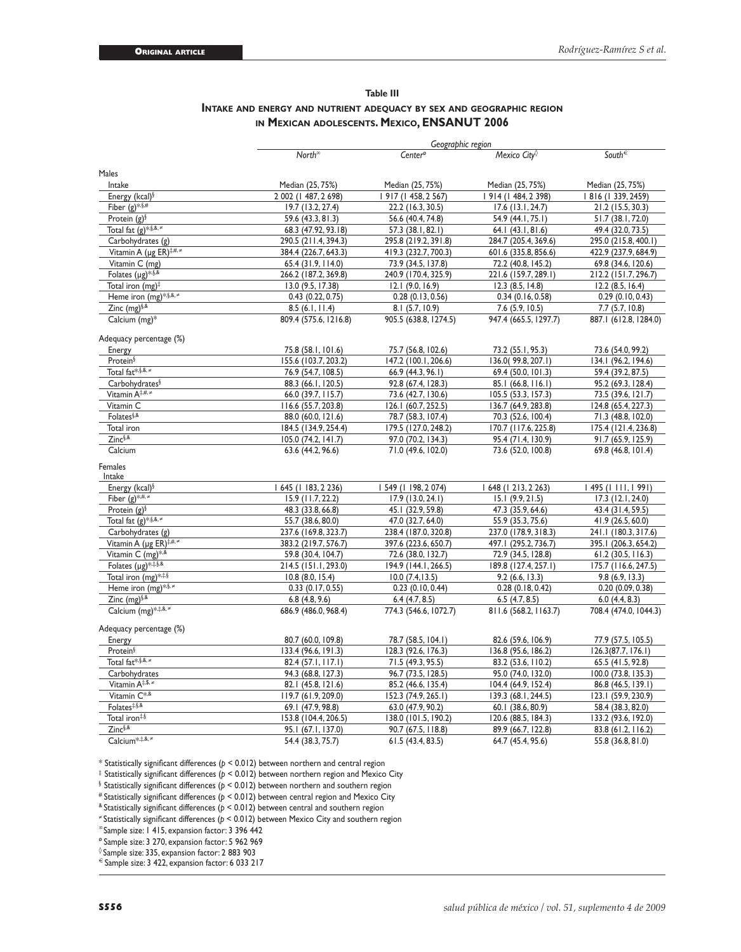#### **Table III Intake and energy and nutrient adequacy by sex and geographic region in Mexican adolescents. Mexico, ENSANUT 2006**

|                                           |                                            | Geographic region     |                                            |                       |
|-------------------------------------------|--------------------------------------------|-----------------------|--------------------------------------------|-----------------------|
|                                           | North <sup><math>\infty</math></sup>       | Center®               | Mexico City $\Diamond$                     | South€                |
| Males                                     |                                            |                       |                                            |                       |
| Intake                                    | Median (25, 75%)                           | Median (25, 75%)      | Median (25, 75%)                           | Median (25, 75%)      |
| Energy (kcal) $\frac{5}{3}$               | 2 002 (1 487, 2 698)                       | 917 (1 458, 2 567)    | 914 (1 484, 2 398)                         | 1816 (1339, 2459)     |
| Fiber $(g)$ *,§#                          | 19.7 (13.2, 27.4)                          | 22.2 (16.3, 30.5)     | $17.6$ (13.1, 24.7)                        | 21.2 (15.5, 30.3)     |
| Protein $(g)$ <sup>§</sup>                | 59.6 (43.3, 81.3)                          | 56.6 (40.4, 74.8)     | 54.9 (44.1, 75.1)                          | 51.7 (38.1, 72.0)     |
| Total fat $(g)$ *,§,&,≠                   | 68.3 (47.92, 93.18)                        | 57.3 (38.1, 82.1)     | 64.1 (43.1, 81.6)                          | 49.4 (32.0, 73.5)     |
| Carbohydrates (g)                         | 290.5 (211.4, 394.3)                       | 295.8 (219.2, 391.8)  | 284.7 (205.4, 369.6)                       | 295.0 (215.8, 400.1)  |
| Vitamin A (µg ER) <sup>‡,#, ≠</sup>       |                                            | 419.3 (232.7, 700.3)  |                                            | 422.9 (237.9, 684.9)  |
| Vitamin C (mg)                            | 384.4 (226.7, 643.3)<br>65.4 (31.9, 114.0) | 73.9 (34.5, 137.8)    | 601.6 (335.8, 856.6)<br>72.2 (40.8, 145.2) |                       |
| Folates $(\mu g)^{*,\S,\&}$               |                                            |                       |                                            | 69.8 (34.6, 120.6)    |
| Total iron $(mg)^{\ddagger}$              | 266.2 (187.2, 369.8)                       | 240.9 (170.4, 325.9)  | 221.6 (159.7, 289.1)                       | 212.2 (151.7, 296.7)  |
| Heme iron (mg)*,§,&,≠                     | 13.0 (9.5, 17.38)                          | $12.1$ (9.0, 16.9)    | $12.3$ (8.5, 14.8)                         | $12.2$ (8.5, 16.4)    |
|                                           | 0.43(0.22, 0.75)                           | 0.28(0.13, 0.56)      | 0.34(0.16, 0.58)                           | 0.29(0.10, 0.43)      |
| Zinc $(mg)^{\S,8}$                        | 8.5(6.1, 11.4)                             | 8.1 (5.7, 10.9)       | 7.6 (5.9, 10.5)                            | 7.7 (5.7, 10.8)       |
| Calcium (mg)*                             | 809.4 (575.6, 1216.8)                      | 905.5 (638.8, 1274.5) | 947.4 (665.5, 1297.7)                      | 887.1 (612.8, 1284.0) |
| Adequacy percentage (%)                   |                                            |                       |                                            |                       |
| Energy                                    | 75.8 (58.1, 101.6)                         | 75.7 (56.8, 102.6)    | 73.2 (55.1, 95.3)                          | 73.6 (54.0, 99.2)     |
| Protein <sup>§</sup>                      | 155.6 (103.7, 203.2)                       | 147.2 (100.1, 206.6)  | 136.0(99.8, 207.1)                         | 134.1 (96.2, 194.6)   |
| Total fat <sup>*,§,&amp;,≠</sup>          | 76.9 (54.7, 108.5)                         | 66.9 (44.3, 96.1)     | 69.4 (50.0, 101.3)                         | 59.4 (39.2, 87.5)     |
| Carbohydrates <sup>§</sup>                | 88.3 (66.1, 120.5)                         | 92.8 (67.4, 128.3)    | 85.1 (66.8, 116.1)                         | 95.2 (69.3, 128.4)    |
| Vitamin A <sup>‡,#,</sup> ≠               | 66.0 (39.7, 115.7)                         | 73.6 (42.7, 130.6)    | 105.5 (53.3, 157.3)                        | 73.5 (39.6, 121.7)    |
| Vitamin C                                 | 116.6 (55.7, 203.8)                        | 126.1 (60.7, 252.5)   | 136.7 (64.9, 283.8)                        | 124.8 (65.4, 227.3)   |
| Folates <sup>§,&amp;</sup>                | 88.0 (60.0, 121.6)                         | 78.7 (58.3, 107.4)    | 70.3 (52.6, 100.4)                         | 71.3 (48.8, 102.0)    |
| Total iron                                | 184.5 (134.9, 254.4)                       | 179.5 (127.0, 248.2)  | 170.7 (117.6, 225.8)                       | 175.4 (121.4, 236.8)  |
| Zinc§,&                                   | 105.0 (74.2, 141.7)                        | 97.0 (70.2, 134.3)    | 95.4 (71.4, 130.9)                         | 91.7 (65.9, 125.9)    |
| Calcium                                   | 63.6 (44.2, 96.6)                          | 71.0 (49.6, 102.0)    | 73.6 (52.0, 100.8)                         | 69.8 (46.8, 101.4)    |
| Females                                   |                                            |                       |                                            |                       |
| Intake                                    |                                            |                       |                                            |                       |
| Energy (kcal) <sup>§</sup>                | 645 (1 183, 2 236)                         | 549 (1 198, 2 074)    | I 648 (I 213, 2 263)                       | 495 (     ,   99 )    |
| Fiber $(g)$ *.#.*                         | 15.9 (11.7, 22.2)                          | 17.9(13.0, 24.1)      | 15.1(9.9, 21.5)                            | $17.3$ (12.1, 24.0)   |
| Protein $(g)$ <sup>§</sup>                | 48.3 (33.8, 66.8)                          | 45.1 (32.9, 59.8)     | 47.3 (35.9, 64.6)                          | 43.4 (31.4, 59.5)     |
| Total fat $(g)^{*,\overline{\S},\&,\neq}$ | 55.7 (38.6, 80.0)                          | 47.0 (32.7, 64.0)     | 55.9 (35.3, 75.6)                          | 41.9 (26.5, 60.0)     |
| Carbohydrates (g)                         | 237.6 (169.8, 323.7)                       | 238.4 (187.0, 320.8)  | 237.0 (178.9, 318.3)                       | 241.1 (180.3, 317.6)  |
| Vitamin A (µg ER) <sup>‡,#, ≠</sup>       | 383.2 (219.7, 576.7)                       | 397.6 (223.6, 650.7)  | 497.1 (295.2, 736.7)                       | 395.1 (206.3, 654.2)  |
| Vitamin C (mg) <sup>*,&amp;</sup>         | 59.8 (30.4, 104.7)                         | 72.6 (38.0, 132.7)    | 72.9 (34.5, 128.8)                         | 61.2(30.5, 116.3)     |
| Folates $(\mu g)^{*,\ddag,\S,\&}$         | 214.5 (151.1, 293.0)                       | 194.9 (144.1, 266.5)  | 189.8 (127.4, 257.1)                       | 175.7 (116.6, 247.5)  |
| Total iron (mg)*#\$                       | $10.8$ (8.0, 15.4)                         | 10.0 (7.4, 13.5)      | 9.2(6.6, 13.3)                             | 9.8(6.9, 13.3)        |
| Heme iron (mg) <sup>*.§.</sup>            | 0.33(0.17, 0.55)                           | 0.23(0.10, 0.44)      | 0.28(0.18, 0.42)                           | 0.20(0.09, 0.38)      |
| Zinc (mg) <sup>§,&amp;</sup>              | 6.8(4.8, 9.6)                              | 6.4(4.7, 8.5)         | 6.5(4.7, 8.5)                              | 6.0(4.4, 8.3)         |
| Calcium (mg)***.&.*                       | 686.9 (486.0, 968.4)                       | 774.3 (546.6, 1072.7) | 811.6 (568.2, 1163.7)                      | 708.4 (474.0, 1044.3) |
| Adequacy percentage (%)                   |                                            |                       |                                            |                       |
| Energy                                    | 80.7 (60.0, 109.8)                         | 78.7 (58.5, 104.1)    | 82.6 (59.6, 106.9)                         | 77.9 (57.5, 105.5)    |
| Protein <sup>§</sup>                      | 133.4 (96.6, 191.3)                        | 128.3 (92.6, 176.3)   | 136.8 (95.6, 186.2)                        | 126.3(87.7, 176.1)    |
| Total fat <sup>*,§,&amp;,≠</sup>          | 82.4 (57.1, 117.1)                         | 71.5 (49.3, 95.5)     | 83.2 (53.6, 110.2)                         | 65.5 (41.5, 92.8)     |
| Carbohydrates                             | 94.3 (68.8, 127.3)                         | 96.7 (73.5, 128.5)    | 95.0 (74.0, 132.0)                         | 100.0 (73.8, 135.3)   |
| Vitamin A <sup>‡,\$,</sup>                | 82.1 (45.8, 121.6)                         | 85.2 (46.6, 135.4)    | 104.4 (64.9, 152.4)                        | 86.8 (46.5, 139.1)    |
| Vitamin C <sup>*,&amp;</sup>              | 119.7 (61.9, 209.0)                        | 152.3 (74.9, 265.1)   | 139.3 (68.1, 244.5)                        | 123.1 (59.9, 230.9)   |
| Folates#,§,&                              | 69.1 (47.9, 98.8)                          | 63.0 (47.9, 90.2)     | 60.1 (38.6, 80.9)                          | 58.4 (38.3, 82.0)     |
| Total iron#§                              | 153.8 (104.4, 206.5)                       | 138.0 (101.5, 190.2)  | 120.6 (88.5, 184.3)                        | 133.2 (93.6, 192.0)   |
| Zinc§,&                                   | 95.1 (67.1, 137.0)                         | 90.7 (67.5, 118.8)    | 89.9 (66.7, 122.8)                         | 83.8 (61.2, 116.2)    |
| Calcium*,#,&, #                           | 54.4 (38.3, 75.7)                          | 61.5 (43.4, 83.5)     | 64.7 (45.4, 95.6)                          | 55.8 (36.8, 81.0)     |
|                                           |                                            |                       |                                            |                       |

\* Statistically significant differences (*p* < 0.012) between northern and central region

‡ Statistically significant differences (*p* < 0.012) between northern region and Mexico City

§ Statistically significant differences (*p* < 0.012) between northern and southern region

# Statistically significant differences (*p* < 0.012) between central region and Mexico City

& Statistically significant differences (*p* < 0.012) between central and southern region

<sup>≠</sup>Statistically significant differences (*p* < 0.012) between Mexico City and southern region

<sup>∞</sup>Sample size: 1 415, expansion factor: 3 396 442

ø Sample size: 3 270, expansion factor: 5 962 969

◊ Sample size: 335, expansion factor: 2 883 903

 $\epsilon$  Sample size: 3 422, expansion factor: 6 033 217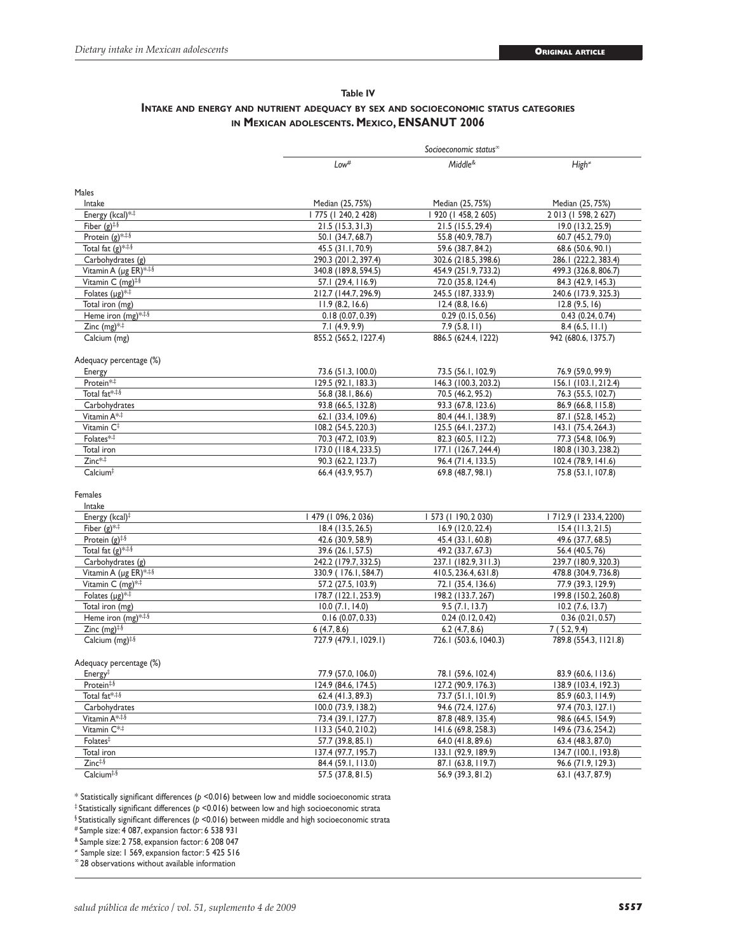## **Table IV Intake and energy and nutrient adequacy by sex and socioeconomic status categories in Mexican adolescents. Mexico, ENSANUT 2006**

|                                            |                                                                                                | Socioeconomic status <sup>®</sup>          |                                            |
|--------------------------------------------|------------------------------------------------------------------------------------------------|--------------------------------------------|--------------------------------------------|
|                                            | Low <sup>#</sup>                                                                               | Middle <sup>&amp;</sup>                    | $High*$                                    |
| Males                                      |                                                                                                |                                            |                                            |
| Intake                                     | Median (25, 75%)                                                                               | Median (25, 75%)                           | Median (25, 75%)                           |
| Energy (kcal)**                            | I 775 (I 240, 2 428)                                                                           | 920 (1 458, 2 605)                         | 2013 (1 598, 2 627)                        |
| Fiber $(g)^{\ddagger,\S}$                  | 21.5(15.3, 31.3)                                                                               | 21.5 (15.5, 29.4)                          | 19.0 (13.2, 25.9)                          |
| Protein $(g)$ <sup>*.‡.§</sup>             | 50.1 (34.7, 68.7)                                                                              | 55.8 (40.9, 78.7)                          | 60.7 (45.2, 79.0)                          |
| Total fat $(g)$ <sup>***</sup>             | 45.5 (31.1, 70.9)                                                                              | 59.6 (38.7, 84.2)                          | 68.6 (50.6, 90.1)                          |
| Carbohydrates (g)                          | 290.3 (201.2, 397.4)                                                                           | 302.6 (218.5, 398.6)                       | 286.1 (222.2, 383.4)                       |
| Vitamin A (µg ER)***                       | 340.8 (189.8, 594.5)                                                                           | 454.9 (251.9, 733.2)                       | 499.3 (326.8, 806.7)                       |
| Vitamin C (mg) <sup>#.§</sup>              | 57.1 (29.4, 116.9)                                                                             | 72.0 (35.8, 124.4)                         | 84.3 (42.9, 145.3)                         |
| Folates $(\mu g)^{*,\ddag}$                | 212.7 (144.7, 296.9)                                                                           | 245.5 (187, 333.9)                         | 240.6 (173.9, 325.3)                       |
| Total iron (mg)                            | 11.9(8.2, 16.6)                                                                                | 12.4(8.8, 16.6)                            | 12.8(9.5, 16)                              |
| Heme iron (mg)***                          | 0.18(0.07, 0.39)                                                                               | 0.29(0.15, 0.56)                           | 0.43(0.24, 0.74)                           |
| Zinc $(mg)$ * <sup>‡</sup>                 | 7.1(4.9, 9.9)                                                                                  | 7.9(5.8, 11)                               | 8.4(6.5, 11.1)                             |
| Calcium (mg)                               | 855.2 (565.2, 1227.4)                                                                          | 886.5 (624.4, 1222)                        | 942 (680.6, 1375.7)                        |
| Adequacy percentage (%)                    |                                                                                                |                                            |                                            |
| Energy                                     | 73.6 (51.3, 100.0)                                                                             | 73.5 (56.1, 102.9)                         | 76.9 (59.0, 99.9)                          |
| Protein* <sup>*</sup>                      | 129.5 (92.1, 183.3)                                                                            | 146.3 (100.3, 203.2)                       | 156.1 (103.1, 212.4)                       |
| Total fat <sup>*,‡,§</sup>                 | 56.8 (38.1, 86.6)                                                                              | 70.5 (46.2, 95.2)                          | 76.3 (55.5, 102.7)                         |
| Carbohydrates                              | 93.8 (66.5, 132.8)                                                                             | 93.3 (67.8, 123.6)                         | 86.9 (66.8, 115.8)                         |
| Vitamin A* <sup>+</sup>                    | 62.1 (33.4, 109.6)                                                                             | 80.4 (44.1, 138.9)                         | 87.1 (52.8, 145.2)                         |
| Vitamin C <sup>‡</sup>                     | 108.2 (54.5, 220.3)                                                                            | 125.5 (64.1, 237.2)                        | 143.1 (75.4, 264.3)                        |
| Folates* <sub>*</sub>                      | 70.3 (47.2, 103.9)                                                                             | 82.3 (60.5, 112.2)                         | 77.3 (54.8, 106.9)                         |
| Total iron                                 | 173.0 (118.4, 233.5)                                                                           | 177.1 (126.7, 244.4)                       | 180.8 (130.3, 238.2)                       |
| $Zinc**$<br>Calcium <sup>‡</sup>           | 90.3 (62.2, 123.7)<br>66.4 (43.9, 95.7)                                                        | 96.4 (71.4, 133.5)<br>69.8 (48.7, 98.1)    | 102.4 (78.9, 141.6)<br>75.8 (53.1, 107.8)  |
| Females<br>Intake                          |                                                                                                |                                            |                                            |
| Energy (kcal) <sup>‡</sup>                 | 479 (1 096, 2 036)                                                                             | 573 (1 190, 2 030)                         | 7 2.9 (  233.4, 2200)                      |
| Fiber $(g)$ * <sup>*</sup>                 | 18.4 (13.5, 26.5)                                                                              | 16.9 (12.0, 22.4)                          | $15.4$ (11.3, 21.5)                        |
| Protein $(g)$ <sup>‡,§</sup>               | 42.6 (30.9, 58.9)                                                                              | 45.4 (33.1, 60.8)                          | 49.6 (37.7, 68.5)                          |
| Total fat $(g)$ <sup>***</sup>             | 39.6 (26.1, 57.5)                                                                              | 49.2 (33.7, 67.3)                          | 56.4 (40.5, 76)                            |
| Carbohydrates (g)<br>Vitamin A (µg ER)*#\$ | 242.2 (179.7, 332.5)                                                                           | 237.1 (182.9, 311.3)                       | 239.7 (180.9, 320.3)                       |
| Vitamin C (mg) <sup>*,‡</sup>              | 330.9 (176.1, 584.7)<br>57.2 (27.5, 103.9)                                                     | 410.5, 236.4, 631.8)<br>72.1 (35.4, 136.6) | 478.8 (304.9, 736.8)<br>77.9 (39.3, 129.9) |
| Folates $(\mu g)^{*,\ddag}$                | 178.7 (122.1, 253.9)                                                                           | 198.2 (133.7, 267)                         | 199.8 (150.2, 260.8)                       |
| Total iron (mg)                            | $10.0$ $(7.1, 14.0)$                                                                           | 9.5(7.1, 13.7)                             | $10.2$ (7.6, 13.7)                         |
| Heme iron (mg)***                          | 0.16(0.07, 0.33)                                                                               | 0.24(0.12, 0.42)                           | 0.36(0.21, 0.57)                           |
| Zinc $(mg)^{\ddagger,\S}$                  | 6(4.7, 8.6)                                                                                    | $6.2$ (4.7, 8.6)                           | 7(5.2, 9.4)                                |
| Calcium (mg) <sup>#.§</sup>                | 727.9 (479.1, 1029.1)                                                                          | 726.1 (503.6, 1040.3)                      | 789.8 (554.3, 1121.8)                      |
| Adequacy percentage (%)                    |                                                                                                |                                            |                                            |
| Energy <sup>‡</sup>                        | 77.9 (57.0, 106.0)                                                                             | 78.1 (59.6, 102.4)                         | 83.9 (60.6, 113.6)                         |
| Protein <sup>#,§</sup>                     | 124.9 (84.6, 174.5)                                                                            | 127.2 (90.9, 176.3)                        | 138.9 (103.4, 192.3)                       |
| Total fat*, #.\$                           | 62.4 (41.3, 89.3)                                                                              | 73.7 (51.1, 101.9)                         | 85.9 (60.3, 114.9)                         |
| Carbohydrates                              | 100.0 (73.9, 138.2)                                                                            | 94.6 (72.4, 127.6)                         | 97.4 (70.3, 127.1)                         |
| Vitamin A* **                              | 73.4 (39.1, 127.7)                                                                             | 87.8 (48.9, 135.4)                         | 98.6 (64.5, 154.9)                         |
| Vitamin C* <sup>#</sup>                    | 113.3 (54.0, 210.2)                                                                            | 141.6 (69.8, 258.3)                        | 149.6 (73.6, 254.2)                        |
| Folates <sup>#</sup>                       | 57.7 (39.8, 85.1)                                                                              | 64.0 (41.8, 89.6)                          | 63.4 (48.3, 87.0)                          |
| Total iron                                 | 137.4 (97.7, 195.7)                                                                            | 133.1 (92.9, 189.9)                        | 134.7 (100.1, 193.8)                       |
| $Zinc$ <sup><math>\frac{4}{3}</math></sup> | 84.4 (59.1, 113.0)                                                                             | 87.1 (63.8, 119.7)                         | 96.6 (71.9, 129.3)                         |
| Calcium <sup>#,§</sup>                     | 57.5 (37.8, 81.5)                                                                              | 56.9 (39.3, 81.2)                          | 63.1 (43.7, 87.9)                          |
|                                            | * Statistically significant differences (b <0.016) between low and middle socioeconomic strata |                                            |                                            |

\* Statistically significant differences (*p* <0.016) between low and middle socioeconomic strata

‡ Statistically significant differences (*p* <0.016) between low and high socioeconomic strata

§ Statistically significant differences (*p* <0.016) between middle and high socioeconomic strata

# Sample size: 4 087, expansion factor: 6 538 931

& Sample size: 2 758, expansion factor: 6 208 047

<sup>≠</sup>Sample size: 1 569, expansion factor: 5 425 516

<sup>∞</sup>28 observations without available information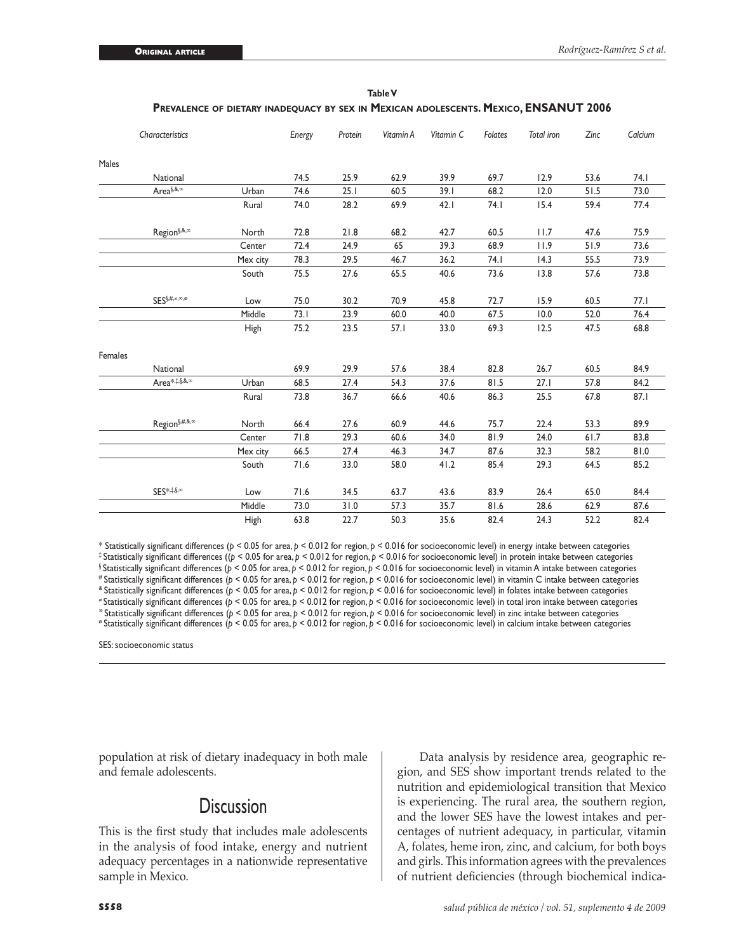|         | Characteristics                             |          | Energy | Protein | Vitamin A | Vitamin C | Folates | <b>Total</b> iron | Zinc | Calcium |
|---------|---------------------------------------------|----------|--------|---------|-----------|-----------|---------|-------------------|------|---------|
| Males   |                                             |          |        |         |           |           |         |                   |      |         |
|         | National                                    |          | 74.5   | 25.9    | 62.9      | 39.9      | 69.7    | 12.9              | 53.6 | 74. I   |
|         | Area <sup>§,&amp;,<math>\infty</math></sup> | Urban    | 74.6   | 25.1    | 60.5      | 39.1      | 68.2    | 12.0              | 51.5 | 73.0    |
|         |                                             | Rural    | 74.0   | 28.2    | 69.9      | 42.1      | 74.1    | 15.4              | 59.4 | 77.4    |
|         | $Region^{\S,\&,\infty}$                     | North    | 72.8   | 21.8    | 68.2      | 42.7      | 60.5    | 11.7              | 47.6 | 75.9    |
|         |                                             | Center   | 72.4   | 24.9    | 65        | 39.3      | 68.9    | 11.9              | 51.9 | 73.6    |
|         |                                             | Mex city | 78.3   | 29.5    | 46.7      | 36.2      | 74.1    | 14.3              | 55.5 | 73.9    |
|         |                                             | South    | 75.5   | 27.6    | 65.5      | 40.6      | 73.6    | 13.8              | 57.6 | 73.8    |
|         | $SES^{\S,\#,\neq,\infty,\varnothing}$       | Low      | 75.0   | 30.2    | 70.9      | 45.8      | 72.7    | 15.9              | 60.5 | 77.1    |
|         |                                             | Middle   | 73.1   | 23.9    | 60.0      | 40.0      | 67.5    | 10.0              | 52.0 | 76.4    |
|         |                                             | High     | 75.2   | 23.5    | 57.1      | 33.0      | 69.3    | 12.5              | 47.5 | 68.8    |
| Females |                                             |          |        |         |           |           |         |                   |      |         |
|         | National                                    |          | 69.9   | 29.9    | 57.6      | 38.4      | 82.8    | 26.7              | 60.5 | 84.9    |
|         | Area*, \$,&, xx                             | Urban    | 68.5   | 27.4    | 54.3      | 37.6      | 81.5    | 27.1              | 57.8 | 84.2    |
|         |                                             | Rural    | 73.8   | 36.7    | 66.6      | 40.6      | 86.3    | 25.5              | 67.8 | 87.1    |
|         | $Region^{\S,\#,\&,\infty}$                  | North    | 66.4   | 27.6    | 60.9      | 44.6      | 75.7    | 22.4              | 53.3 | 89.9    |
|         |                                             | Center   | 71.8   | 29.3    | 60.6      | 34.0      | 81.9    | 24.0              | 61.7 | 83.8    |
|         |                                             | Mex city | 66.5   | 27.4    | 46.3      | 34.7      | 87.6    | 32.3              | 58.2 | 81.0    |
|         |                                             | South    | 71.6   | 33.0    | 58.0      | 41.2      | 85.4    | 29.3              | 64.5 | 85.2    |
|         | $SES^{*,\ddag,\S}$                          | Low      | 71.6   | 34.5    | 63.7      | 43.6      | 83.9    | 26.4              | 65.0 | 84.4    |
|         |                                             | Middle   | 73.0   | 31.0    | 57.3      | 35.7      | 81.6    | 28.6              | 62.9 | 87.6    |
|         |                                             | High     | 63.8   | 22.7    | 50.3      | 35.6      | 82.4    | 24.3              | 52.2 | 82.4    |

**Table V Prevalence of dietary inadequacy by sex in Mexican adolescents. Mexico, ENSANUT 2006**

\* Statistically significant differences (*p* < 0.05 for area, *p* < 0.012 for region, *p* < 0.016 for socioeconomic level) in energy intake between categories ‡ Statistically significant differences ((*p* < 0.05 for area, *p* < 0.012 for region, *p* < 0.016 for socioeconomic level) in protein intake between categories § Statistically significant differences (*p* < 0.05 for area, *p* < 0.012 for region, *p* < 0.016 for socioeconomic level) in vitamin A intake between categories # Statistically significant differences (*p* < 0.05 for area, *p* < 0.012 for region, *p* < 0.016 for socioeconomic level) in vitamin C intake between categories & Statistically significant differences (*p* < 0.05 for area, *p* < 0.012 for region, *p* < 0.016 for socioeconomic level) in folates intake between categories <sup>≠</sup>Statistically significant differences (*p* < 0.05 for area, *p* < 0.012 for region, *p* < 0.016 for socioeconomic level) in total iron intake between categories <sup>∞</sup>Statistically significant differences (*p* < 0.05 for area, *p* < 0.012 for region, *p* < 0.016 for socioeconomic level) in zinc intake between categories ø Statistically significant differences (*p* < 0.05 for area, *p* < 0.012 for region, *p* < 0.016 for socioeconomic level) in calcium intake between categories

SES: socioeconomic status

population at risk of dietary inadequacy in both male and female adolescents.

## **Discussion**

This is the first study that includes male adolescents in the analysis of food intake, energy and nutrient adequacy percentages in a nationwide representative sample in Mexico.

Data analysis by residence area, geographic region, and SES show important trends related to the nutrition and epidemiological transition that Mexico is experiencing. The rural area, the southern region, and the lower SES have the lowest intakes and percentages of nutrient adequacy, in particular, vitamin A, folates, heme iron, zinc, and calcium, for both boys and girls. This information agrees with the prevalences of nutrient deficiencies (through biochemical indica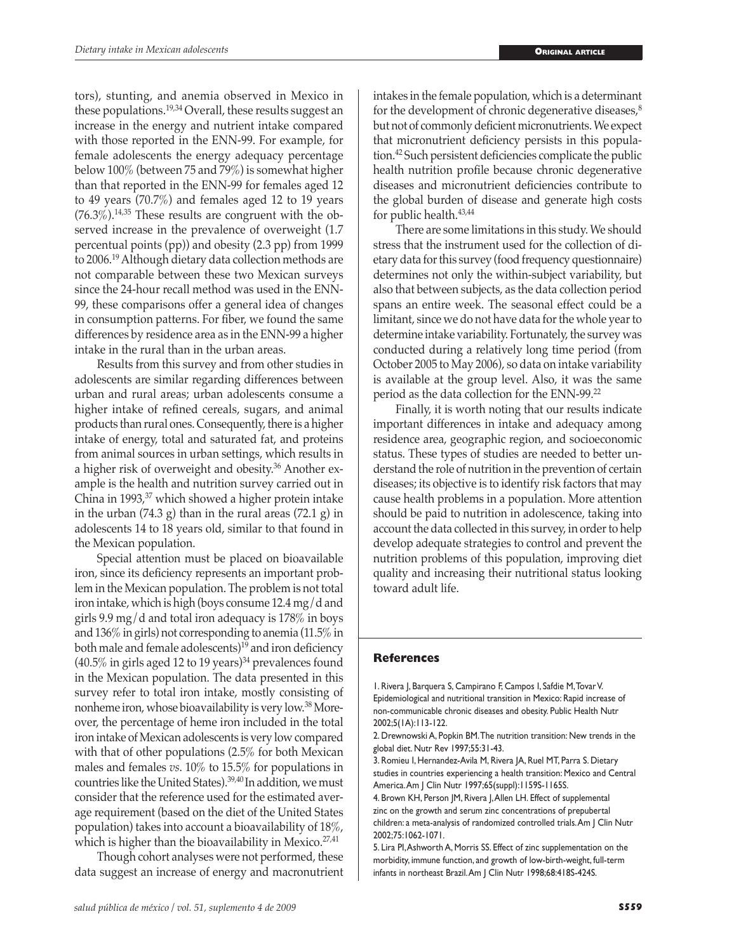tors), stunting, and anemia observed in Mexico in these populations.19,34 Overall, these results suggest an increase in the energy and nutrient intake compared with those reported in the ENN-99. For example, for female adolescents the energy adequacy percentage below 100% (between 75 and 79%) is somewhat higher than that reported in the ENN-99 for females aged 12 to 49 years (70.7%) and females aged 12 to 19 years  $(76.3\%)$ <sup>14,35</sup> These results are congruent with the observed increase in the prevalence of overweight (1.7 percentual points (pp)) and obesity (2.3 pp) from 1999 to 2006.19 Although dietary data collection methods are not comparable between these two Mexican surveys since the 24-hour recall method was used in the ENN-99, these comparisons offer a general idea of changes in consumption patterns. For fiber, we found the same differences by residence area as in the ENN-99 a higher intake in the rural than in the urban areas.

Results from this survey and from other studies in adolescents are similar regarding differences between urban and rural areas; urban adolescents consume a higher intake of refined cereals, sugars, and animal products than rural ones. Consequently, there is a higher intake of energy, total and saturated fat, and proteins from animal sources in urban settings, which results in a higher risk of overweight and obesity.36 Another example is the health and nutrition survey carried out in China in 1993,37 which showed a higher protein intake in the urban  $(74.3 \text{ g})$  than in the rural areas  $(72.1 \text{ g})$  in adolescents 14 to 18 years old, similar to that found in the Mexican population.

Special attention must be placed on bioavailable iron, since its deficiency represents an important problem in the Mexican population. The problem is not total iron intake, which is high (boys consume 12.4 mg/d and girls 9.9 mg/d and total iron adequacy is 178% in boys and 136% in girls) not corresponding to anemia (11.5% in both male and female adolescents)<sup>19</sup> and iron deficiency  $(40.5\%$  in girls aged 12 to 19 years)<sup>34</sup> prevalences found in the Mexican population. The data presented in this survey refer to total iron intake, mostly consisting of nonheme iron, whose bioavailability is very low.38 Moreover, the percentage of heme iron included in the total iron intake of Mexican adolescents is very low compared with that of other populations (2.5% for both Mexican males and females *vs*. 10% to 15.5% for populations in countries like the United States).39,40 In addition, we must consider that the reference used for the estimated average requirement (based on the diet of the United States population) takes into account a bioavailability of 18%, which is higher than the bioavailability in Mexico.<sup>27,41</sup>

Though cohort analyses were not performed, these data suggest an increase of energy and macronutrient intakes in the female population, which is a determinant for the development of chronic degenerative diseases,<sup>8</sup> but not of commonly deficient micronutrients. We expect that micronutrient deficiency persists in this population.42 Such persistent deficiencies complicate the public health nutrition profile because chronic degenerative diseases and micronutrient deficiencies contribute to the global burden of disease and generate high costs for public health.<sup>43,44</sup>

There are some limitations in this study. We should stress that the instrument used for the collection of dietary data for this survey (food frequency questionnaire) determines not only the within-subject variability, but also that between subjects, as the data collection period spans an entire week. The seasonal effect could be a limitant, since we do not have data for the whole year to determine intake variability. Fortunately, the survey was conducted during a relatively long time period (from October 2005 to May 2006), so data on intake variability is available at the group level. Also, it was the same period as the data collection for the ENN-99.22

Finally, it is worth noting that our results indicate important differences in intake and adequacy among residence area, geographic region, and socioeconomic status. These types of studies are needed to better understand the role of nutrition in the prevention of certain diseases; its objective is to identify risk factors that may cause health problems in a population. More attention should be paid to nutrition in adolescence, taking into account the data collected in this survey, in order to help develop adequate strategies to control and prevent the nutrition problems of this population, improving diet quality and increasing their nutritional status looking toward adult life.

#### **References**

1. Rivera J, Barquera S, Campirano F, Campos I, Safdie M, Tovar V. Epidemiological and nutritional transition in Mexico: Rapid increase of non-communicable chronic diseases and obesity. Public Health Nutr 2002;5(1A):113-122.

<sup>2.</sup> Drewnowski A, Popkin BM. The nutrition transition: New trends in the global diet. Nutr Rev 1997;55:31-43.

<sup>3.</sup> Romieu I, Hernandez-Avila M, Rivera JA, Ruel MT, Parra S. Dietary studies in countries experiencing a health transition: Mexico and Central America. Am J Clin Nutr 1997;65(suppl):1159S-1165S.

<sup>4.</sup> Brown KH, Person JM, Rivera J, Allen LH. Effect of supplemental zinc on the growth and serum zinc concentrations of prepubertal children: a meta-analysis of randomized controlled trials. Am J Clin Nutr 2002;75:1062-1071.

<sup>5.</sup> Lira PI, Ashworth A, Morris SS. Effect of zinc supplementation on the morbidity, immune function, and growth of low-birth-weight, full-term infants in northeast Brazil. Am J Clin Nutr 1998;68:418S-424S.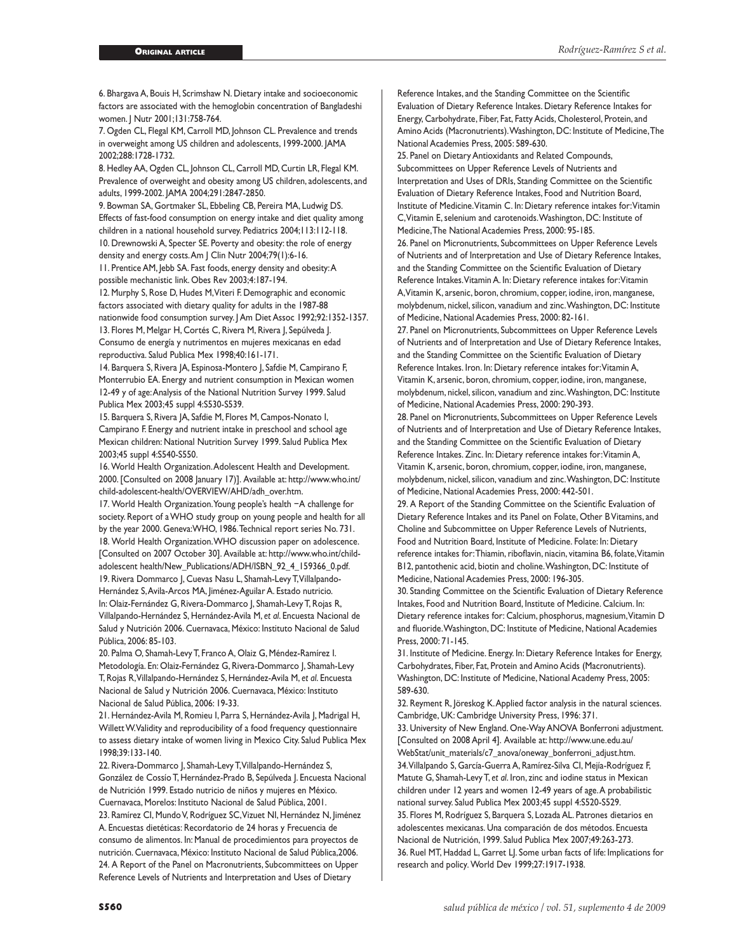6. Bhargava A, Bouis H, Scrimshaw N. Dietary intake and socioeconomic factors are associated with the hemoglobin concentration of Bangladeshi women. J Nutr 2001;131:758-764.

7. Ogden CL, Flegal KM, Carroll MD, Johnson CL. Prevalence and trends in overweight among US children and adolescents, 1999-2000. JAMA 2002;288:1728-1732.

8. Hedley AA, Ogden CL, Johnson CL, Carroll MD, Curtin LR, Flegal KM. Prevalence of overweight and obesity among US children, adolescents, and adults, 1999-2002. JAMA 2004;291:2847-2850.

9. Bowman SA, Gortmaker SL, Ebbeling CB, Pereira MA, Ludwig DS. Effects of fast-food consumption on energy intake and diet quality among children in a national household survey. Pediatrics 2004;113:112-118. 10. Drewnowski A, Specter SE. Poverty and obesity: the role of energy density and energy costs. Am J Clin Nutr 2004;79(1):6-16.

11. Prentice AM, Jebb SA. Fast foods, energy density and obesity: A possible mechanistic link. Obes Rev 2003;4:187-194.

12. Murphy S, Rose D, Hudes M, Viteri F. Demographic and economic factors associated with dietary quality for adults in the 1987-88 nationwide food consumption survey. J Am Diet Assoc 1992;92:1352-1357. 13. Flores M, Melgar H, Cortés C, Rivera M, Rivera J, Sepúlveda J. Consumo de energía y nutrimentos en mujeres mexicanas en edad reproductiva. Salud Publica Mex 1998;40:161-171.

14. Barquera S, Rivera JA, Espinosa-Montero J, Safdie M, Campirano F, Monterrubio EA. Energy and nutrient consumption in Mexican women 12-49 y of age: Analysis of the National Nutrition Survey 1999. Salud Publica Mex 2003;45 suppl 4:S530-S539.

15. Barquera S, Rivera JA, Safdie M, Flores M, Campos-Nonato I, Campirano F. Energy and nutrient intake in preschool and school age Mexican children: National Nutrition Survey 1999. Salud Publica Mex 2003;45 suppl 4:S540-S550.

16. World Health Organization. Adolescent Health and Development. 2000. [Consulted on 2008 January 17)]. Available at: http://www.who.int/ child-adolescent-health/OVERVIEW/AHD/adh\_over.htm.

17. World Health Organization. Young people's health −A challenge for society. Report of a WHO study group on young people and health for all by the year 2000. Geneva:WHO, 1986. Technical report series No. 731. 18. World Health Organization. WHO discussion paper on adolescence. [Consulted on 2007 October 30]. Available at: http://www.who.int/childadolescent health/New\_Publications/ADH/ISBN\_92\_4\_159366\_0.pdf. 19. Rivera Dommarco J, Cuevas Nasu L, Shamah-Levy T, Villalpando-Hernández S, Avila-Arcos MA, Jiménez-Aguilar A. Estado nutricio. In: Olaiz-Fernández G, Rivera-Dommarco J, Shamah-Levy T, Rojas R, Villalpando-Hernández S, Hernández-Avila M, *et al*. Encuesta Nacional de Salud y Nutrición 2006. Cuernavaca, México: Instituto Nacional de Salud Pública, 2006: 85-103.

20. Palma O, Shamah-Levy T, Franco A, Olaiz G, Méndez-Ramírez I. Metodología. En: Olaiz-Fernández G, Rivera-Dommarco J, Shamah-Levy T, Rojas R, Villalpando-Hernández S, Hernández-Avila M, *et al*. Encuesta Nacional de Salud y Nutrición 2006. Cuernavaca, México: Instituto Nacional de Salud Pública, 2006: 19-33.

21. Hernández-Avila M, Romieu I, Parra S, Hernández-Avila J, Madrigal H, Willett W. Validity and reproducibility of a food frequency questionnaire to assess dietary intake of women living in Mexico City. Salud Publica Mex 1998;39:133-140.

22. Rivera-Dommarco J, Shamah-Levy T, Villalpando-Hernández S, González de Cossío T, Hernández-Prado B, Sepúlveda J. Encuesta Nacional de Nutrición 1999. Estado nutricio de niños y mujeres en México. Cuernavaca, Morelos: Instituto Nacional de Salud Pública, 2001.

23. Ramírez CI, Mundo V, Rodríguez SC, Vizuet NI, Hernández N, Jiménez A. Encuestas dietéticas: Recordatorio de 24 horas y Frecuencia de consumo de alimentos. In: Manual de procedimientos para proyectos de nutrición. Cuernavaca, México: Instituto Nacional de Salud Pública,2006. 24. A Report of the Panel on Macronutrients, Subcommittees on Upper Reference Levels of Nutrients and Interpretation and Uses of Dietary

Reference Intakes, and the Standing Committee on the Scientific Evaluation of Dietary Reference Intakes. Dietary Reference Intakes for Energy, Carbohydrate, Fiber, Fat, Fatty Acids, Cholesterol, Protein, and Amino Acids (Macronutrients). Washington, DC: Institute of Medicine, The National Academies Press, 2005: 589-630.

25. Panel on Dietary Antioxidants and Related Compounds, Subcommittees on Upper Reference Levels of Nutrients and Interpretation and Uses of DRIs, Standing Committee on the Scientific Evaluation of Dietary Reference Intakes, Food and Nutrition Board, Institute of Medicine. Vitamin C. In: Dietary reference intakes for: Vitamin C, Vitamin E, selenium and carotenoids. Washington, DC: Institute of Medicine, The National Academies Press, 2000: 95-185.

26. Panel on Micronutrients, Subcommittees on Upper Reference Levels of Nutrients and of Interpretation and Use of Dietary Reference Intakes, and the Standing Committee on the Scientific Evaluation of Dietary Reference Intakes. Vitamin A. In: Dietary reference intakes for: Vitamin A, Vitamin K, arsenic, boron, chromium, copper, iodine, iron, manganese, molybdenum, nickel, silicon, vanadium and zinc. Washington, DC: Institute of Medicine, National Academies Press, 2000: 82-161.

27. Panel on Micronutrients, Subcommittees on Upper Reference Levels of Nutrients and of Interpretation and Use of Dietary Reference Intakes, and the Standing Committee on the Scientific Evaluation of Dietary Reference Intakes. Iron. In: Dietary reference intakes for: Vitamin A, Vitamin K, arsenic, boron, chromium, copper, iodine, iron, manganese, molybdenum, nickel, silicon, vanadium and zinc. Washington, DC: Institute of Medicine, National Academies Press, 2000: 290-393.

28. Panel on Micronutrients, Subcommittees on Upper Reference Levels of Nutrients and of Interpretation and Use of Dietary Reference Intakes, and the Standing Committee on the Scientific Evaluation of Dietary Reference Intakes. Zinc. In: Dietary reference intakes for: Vitamin A, Vitamin K, arsenic, boron, chromium, copper, iodine, iron, manganese, molybdenum, nickel, silicon, vanadium and zinc. Washington, DC: Institute of Medicine, National Academies Press, 2000: 442-501.

29. A Report of the Standing Committee on the Scientific Evaluation of Dietary Reference Intakes and its Panel on Folate, Other B Vitamins, and Choline and Subcommittee on Upper Reference Levels of Nutrients, Food and Nutrition Board, Institute of Medicine. Folate: In: Dietary reference intakes for: Thiamin, riboflavin, niacin, vitamina B6, folate, Vitamin B12, pantothenic acid, biotin and choline. Washington, DC: Institute of Medicine, National Academies Press, 2000: 196-305.

30. Standing Committee on the Scientific Evaluation of Dietary Reference Intakes, Food and Nutrition Board, Institute of Medicine. Calcium. In: Dietary reference intakes for: Calcium, phosphorus, magnesium, Vitamin D and fluoride. Washington, DC: Institute of Medicine, National Academies Press, 2000: 71-145.

31. Institute of Medicine. Energy. In: Dietary Reference Intakes for Energy, Carbohydrates, Fiber, Fat, Protein and Amino Acids (Macronutrients). Washington, DC: Institute of Medicine, National Academy Press, 2005: 589-630.

32. Reyment R, Jöreskog K. Applied factor analysis in the natural sciences. Cambridge, UK: Cambridge University Press, 1996: 371.

33. University of New England. One-Way ANOVA Bonferroni adjustment. [Consulted on 2008 April 4]. Available at: http://www.une.edu.au/ WebStat/unit\_materials/c7\_anova/oneway\_bonferroni\_adjust.htm. 34. Villalpando S, García-Guerra A, Ramírez-Silva CI, Mejía-Rodríguez F, Matute G, Shamah-Levy T, *et al*. Iron, zinc and iodine status in Mexican children under 12 years and women 12-49 years of age. A probabilistic national survey. Salud Publica Mex 2003;45 suppl 4:S520-S529. 35. Flores M, Rodríguez S, Barquera S, Lozada AL. Patrones dietarios en adolescentes mexicanas. Una comparación de dos métodos. Encuesta Nacional de Nutrición, 1999. Salud Publica Mex 2007;49:263-273. 36. Ruel MT, Haddad L, Garret LJ. Some urban facts of life: Implications for research and policy*.* World Dev 1999;27:1917-1938.